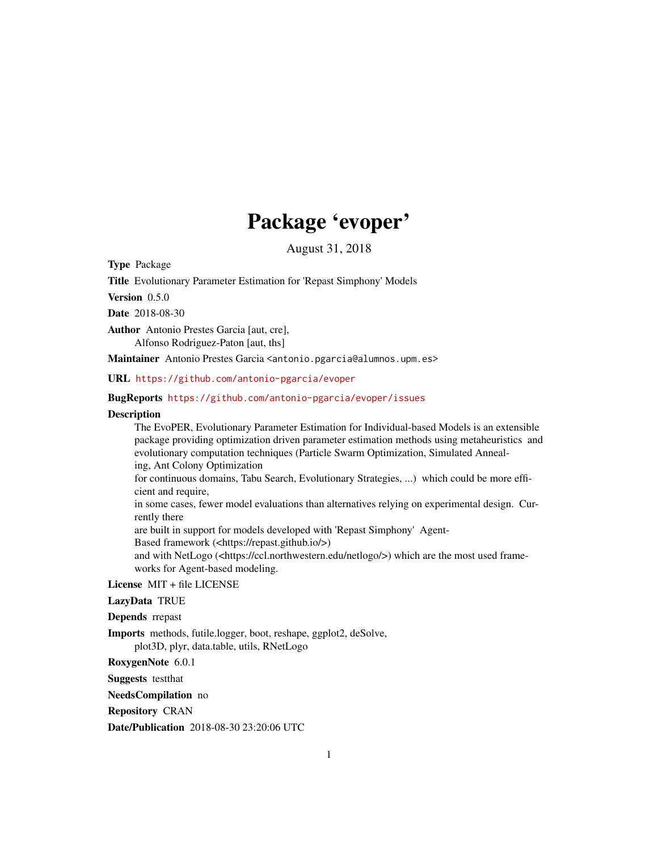# Package 'evoper'

August 31, 2018

Type Package

Title Evolutionary Parameter Estimation for 'Repast Simphony' Models

Version 0.5.0

Date 2018-08-30

Author Antonio Prestes Garcia [aut, cre], Alfonso Rodriguez-Paton [aut, ths]

Maintainer Antonio Prestes Garcia <antonio.pgarcia@alumnos.upm.es>

URL <https://github.com/antonio-pgarcia/evoper>

#### BugReports <https://github.com/antonio-pgarcia/evoper/issues>

#### **Description**

The EvoPER, Evolutionary Parameter Estimation for Individual-based Models is an extensible package providing optimization driven parameter estimation methods using metaheuristics and evolutionary computation techniques (Particle Swarm Optimization, Simulated Annealing, Ant Colony Optimization for continuous domains, Tabu Search, Evolutionary Strategies, ...) which could be more efficient and require, in some cases, fewer model evaluations than alternatives relying on experimental design. Currently there are built in support for models developed with 'Repast Simphony' Agent-Based framework (<https://repast.github.io/>) and with NetLogo (<https://ccl.northwestern.edu/netlogo/>) which are the most used frameworks for Agent-based modeling.

License MIT + file LICENSE

LazyData TRUE

#### Depends rrepast

Imports methods, futile.logger, boot, reshape, ggplot2, deSolve, plot3D, plyr, data.table, utils, RNetLogo

RoxygenNote 6.0.1

Suggests testthat

NeedsCompilation no

Repository CRAN

Date/Publication 2018-08-30 23:20:06 UTC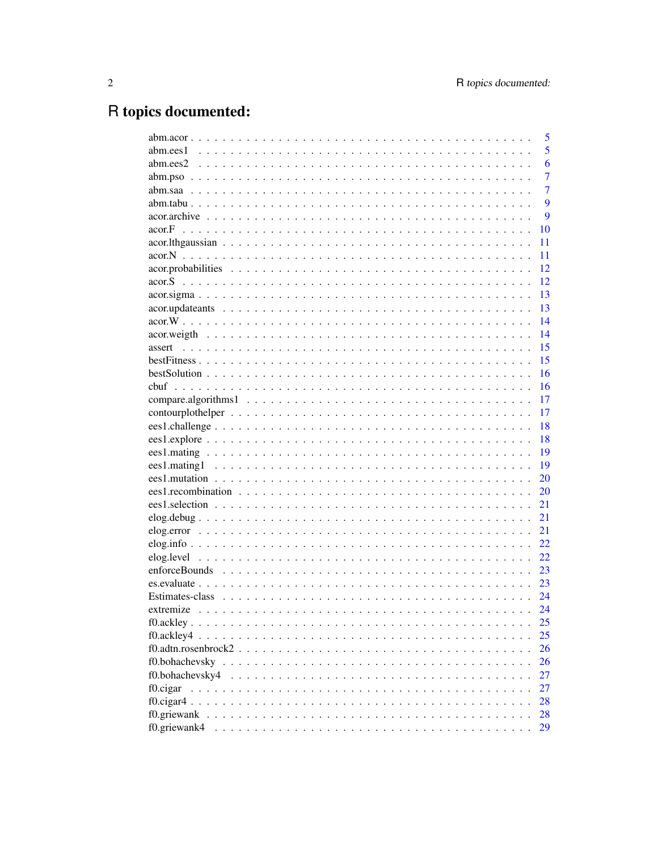# R topics documented:

|                                                                                                        | 5              |
|--------------------------------------------------------------------------------------------------------|----------------|
|                                                                                                        | 5              |
|                                                                                                        | 6              |
|                                                                                                        | $\overline{7}$ |
|                                                                                                        | $\overline{7}$ |
|                                                                                                        | 9              |
|                                                                                                        | 9              |
| acor.F                                                                                                 | 10             |
|                                                                                                        | 11             |
|                                                                                                        | 11             |
|                                                                                                        | 12             |
| acor.S                                                                                                 | 12             |
|                                                                                                        | 13             |
|                                                                                                        | 13             |
|                                                                                                        | 14             |
|                                                                                                        | 14             |
| assert                                                                                                 | 15             |
|                                                                                                        | 15             |
|                                                                                                        | 16             |
|                                                                                                        | 16             |
|                                                                                                        | 17             |
|                                                                                                        | 17             |
|                                                                                                        | 18             |
|                                                                                                        | 18             |
|                                                                                                        | 19             |
|                                                                                                        | 19             |
|                                                                                                        | 20             |
|                                                                                                        | 20             |
|                                                                                                        | 21             |
|                                                                                                        | 21             |
|                                                                                                        | 21             |
|                                                                                                        | 22.            |
|                                                                                                        | 22             |
|                                                                                                        | 23             |
|                                                                                                        | 23             |
|                                                                                                        | 24             |
|                                                                                                        | 24             |
|                                                                                                        | 25             |
| f0.ackley4                                                                                             | 25             |
| $f0.$ adtn.rosenbrock $2 \ldots \ldots \ldots \ldots \ldots \ldots \ldots \ldots \ldots \ldots \ldots$ | 26             |
|                                                                                                        | 26             |
| f0.bohachevsky4                                                                                        | 27             |
| f0.cigar                                                                                               | 27             |
|                                                                                                        | 28             |
| f0.griewank                                                                                            | 28             |
| f0.griewank4                                                                                           | 29             |
|                                                                                                        |                |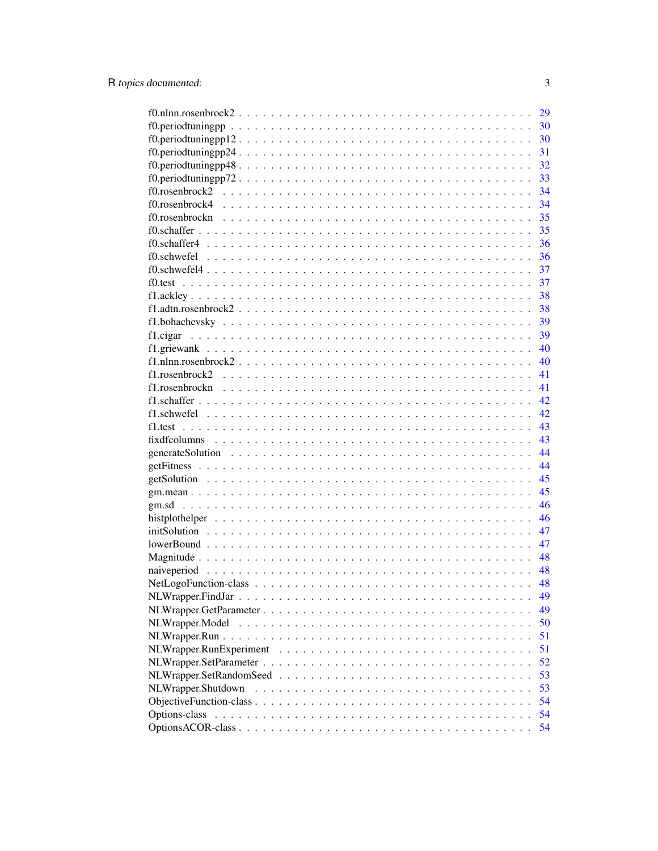|                                                                                                         | 29 |
|---------------------------------------------------------------------------------------------------------|----|
|                                                                                                         | 30 |
|                                                                                                         | 30 |
|                                                                                                         | 31 |
| $f0.$ periodtuningpp $48. \ldots \ldots \ldots \ldots \ldots \ldots \ldots \ldots \ldots \ldots \ldots$ | 32 |
| $f0.$ periodtuningpp $72. \ldots.$                                                                      | 33 |
|                                                                                                         | 34 |
|                                                                                                         | 34 |
|                                                                                                         | 35 |
|                                                                                                         | 35 |
|                                                                                                         | 36 |
|                                                                                                         | 36 |
|                                                                                                         | 37 |
|                                                                                                         | 37 |
|                                                                                                         | 38 |
|                                                                                                         | 38 |
|                                                                                                         | 39 |
|                                                                                                         | 39 |
|                                                                                                         | 40 |
|                                                                                                         | 40 |
|                                                                                                         | 41 |
|                                                                                                         | 41 |
|                                                                                                         | 42 |
|                                                                                                         | 42 |
|                                                                                                         | 43 |
|                                                                                                         | 43 |
|                                                                                                         | 44 |
|                                                                                                         | 44 |
|                                                                                                         | 45 |
|                                                                                                         | 45 |
|                                                                                                         | 46 |
|                                                                                                         | 46 |
|                                                                                                         | 47 |
|                                                                                                         | 47 |
|                                                                                                         | 48 |
|                                                                                                         | 48 |
|                                                                                                         | 48 |
|                                                                                                         | 49 |
|                                                                                                         | 49 |
|                                                                                                         | 50 |
|                                                                                                         | 51 |
|                                                                                                         | 51 |
|                                                                                                         | 52 |
|                                                                                                         | 53 |
| NLWrapper.Shutdown                                                                                      | 53 |
|                                                                                                         | 54 |
| Options-class                                                                                           | 54 |
|                                                                                                         | 54 |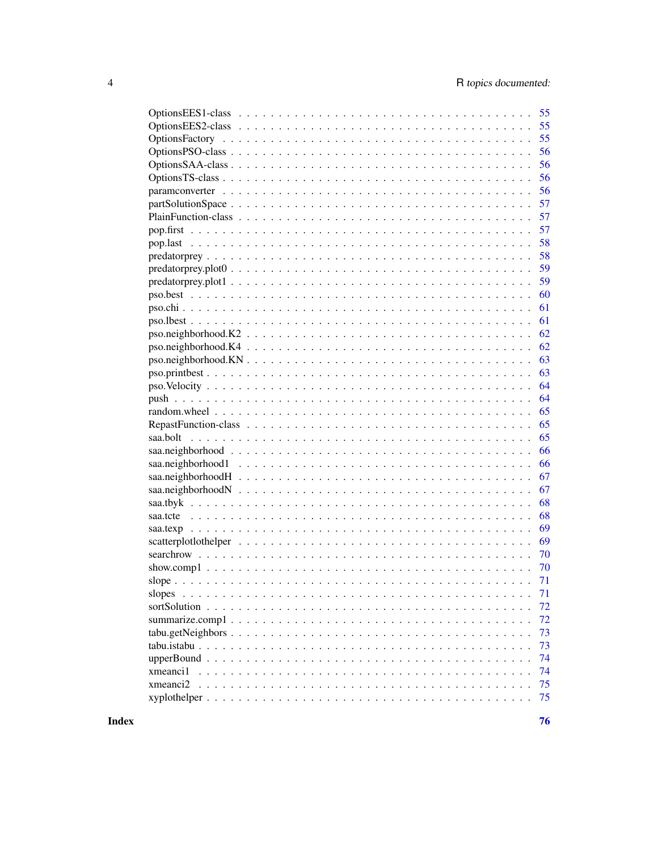| 55                                                                                                                                                                                                                                                                                                                                                                                                                                   |
|--------------------------------------------------------------------------------------------------------------------------------------------------------------------------------------------------------------------------------------------------------------------------------------------------------------------------------------------------------------------------------------------------------------------------------------|
| 55                                                                                                                                                                                                                                                                                                                                                                                                                                   |
| 55                                                                                                                                                                                                                                                                                                                                                                                                                                   |
| 56                                                                                                                                                                                                                                                                                                                                                                                                                                   |
| 56                                                                                                                                                                                                                                                                                                                                                                                                                                   |
| 56                                                                                                                                                                                                                                                                                                                                                                                                                                   |
| 56                                                                                                                                                                                                                                                                                                                                                                                                                                   |
| 57                                                                                                                                                                                                                                                                                                                                                                                                                                   |
| 57                                                                                                                                                                                                                                                                                                                                                                                                                                   |
| 57                                                                                                                                                                                                                                                                                                                                                                                                                                   |
| 58                                                                                                                                                                                                                                                                                                                                                                                                                                   |
| 58                                                                                                                                                                                                                                                                                                                                                                                                                                   |
| 59                                                                                                                                                                                                                                                                                                                                                                                                                                   |
| 59                                                                                                                                                                                                                                                                                                                                                                                                                                   |
| 60                                                                                                                                                                                                                                                                                                                                                                                                                                   |
| 61                                                                                                                                                                                                                                                                                                                                                                                                                                   |
| 61                                                                                                                                                                                                                                                                                                                                                                                                                                   |
| 62<br>$pos. neighborhood. K2 \n\t\ldots \n\t\ldots \n\t\ldots \n\t\ldots \n\t\ldots \n\t\ldots \n\t\ldots \n\t\ldots \n\t\ldots \n\t\ldots \n\t\ldots \n\t\ldots \n\t\ldots \n\t\ldots \n\t\ldots \n\t\ldots \n\t\ldots \n\t\ldots \n\t\ldots \n\t\ldots \n\t\ldots \n\t\ldots \n\t\ldots \n\t\ldots \n\t\ldots \n\t\ldots \n\t\ldots \n\t\ldots \n\t\ldots \n\t\ldots \n\t\ldots \n\t\ldots \n\t\ldots \n\t\ldots \n\t\ldots \n\t\$ |
| 62                                                                                                                                                                                                                                                                                                                                                                                                                                   |
| 63                                                                                                                                                                                                                                                                                                                                                                                                                                   |
| 63                                                                                                                                                                                                                                                                                                                                                                                                                                   |
| 64                                                                                                                                                                                                                                                                                                                                                                                                                                   |
| 64                                                                                                                                                                                                                                                                                                                                                                                                                                   |
| 65                                                                                                                                                                                                                                                                                                                                                                                                                                   |
| 65                                                                                                                                                                                                                                                                                                                                                                                                                                   |
| 65                                                                                                                                                                                                                                                                                                                                                                                                                                   |
| 66                                                                                                                                                                                                                                                                                                                                                                                                                                   |
| 66                                                                                                                                                                                                                                                                                                                                                                                                                                   |
| 67                                                                                                                                                                                                                                                                                                                                                                                                                                   |
| 67                                                                                                                                                                                                                                                                                                                                                                                                                                   |
| 68                                                                                                                                                                                                                                                                                                                                                                                                                                   |
| 68                                                                                                                                                                                                                                                                                                                                                                                                                                   |
| 69                                                                                                                                                                                                                                                                                                                                                                                                                                   |
| 69                                                                                                                                                                                                                                                                                                                                                                                                                                   |
| 70                                                                                                                                                                                                                                                                                                                                                                                                                                   |
| 70                                                                                                                                                                                                                                                                                                                                                                                                                                   |
| 71                                                                                                                                                                                                                                                                                                                                                                                                                                   |
| 71<br>slopes                                                                                                                                                                                                                                                                                                                                                                                                                         |
| 72                                                                                                                                                                                                                                                                                                                                                                                                                                   |
| 72                                                                                                                                                                                                                                                                                                                                                                                                                                   |
| 73                                                                                                                                                                                                                                                                                                                                                                                                                                   |
| 73                                                                                                                                                                                                                                                                                                                                                                                                                                   |
| 74                                                                                                                                                                                                                                                                                                                                                                                                                                   |
| 74<br>xmeanci1                                                                                                                                                                                                                                                                                                                                                                                                                       |
| xmeanci2<br>75                                                                                                                                                                                                                                                                                                                                                                                                                       |
| 75                                                                                                                                                                                                                                                                                                                                                                                                                                   |

**Index**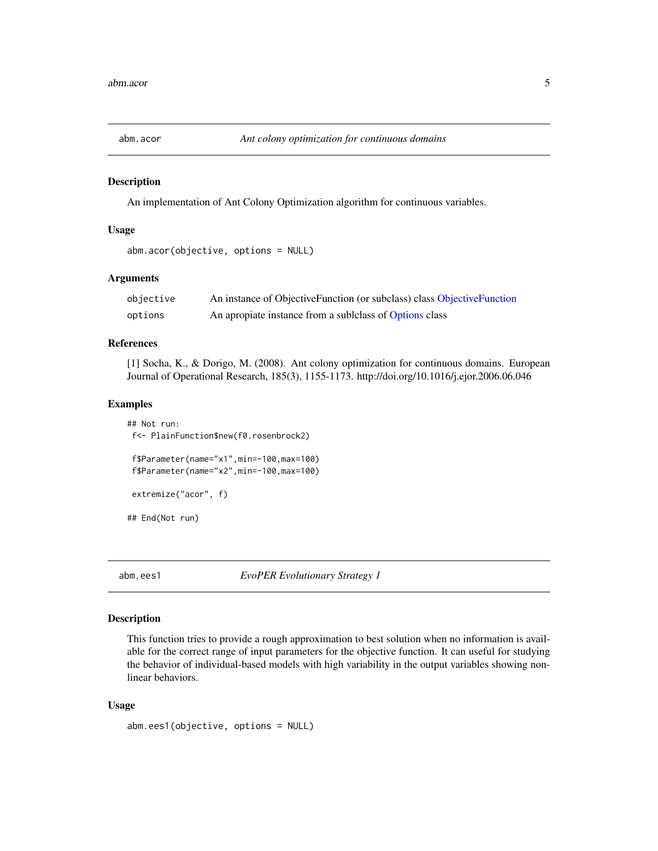<span id="page-4-0"></span>

#### Description

An implementation of Ant Colony Optimization algorithm for continuous variables.

#### Usage

```
abm.acor(objective, options = NULL)
```
# Arguments

| objective | An instance of ObjectiveFunction (or subclass) class ObjectiveFunction |
|-----------|------------------------------------------------------------------------|
| options   | An apropiate instance from a sublelass of Options class                |

#### References

[1] Socha, K., & Dorigo, M. (2008). Ant colony optimization for continuous domains. European Journal of Operational Research, 185(3), 1155-1173. http://doi.org/10.1016/j.ejor.2006.06.046

#### Examples

```
## Not run:
f<- PlainFunction$new(f0.rosenbrock2)
 f$Parameter(name="x1",min=-100,max=100)
 f$Parameter(name="x2",min=-100,max=100)
extremize("acor", f)
## End(Not run)
```
abm.ees1 *EvoPER Evolutionary Strategy 1*

#### Description

This function tries to provide a rough approximation to best solution when no information is available for the correct range of input parameters for the objective function. It can useful for studying the behavior of individual-based models with high variability in the output variables showing nonlinear behaviors.

#### Usage

```
abm.ees1(objective, options = NULL)
```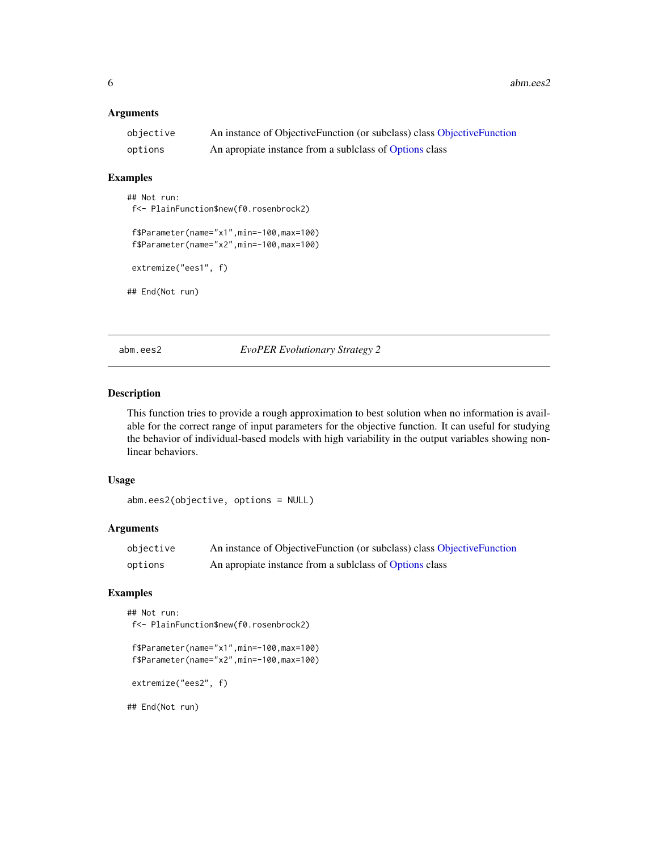<span id="page-5-0"></span> $6 \text{ }$  abm.ees2

#### Arguments

| objective | An instance of ObjectiveFunction (or subclass) class ObjectiveFunction |
|-----------|------------------------------------------------------------------------|
| options   | An apropiate instance from a sublelass of Options class                |

#### Examples

## Not run: f<- PlainFunction\$new(f0.rosenbrock2) f\$Parameter(name="x1",min=-100,max=100) f\$Parameter(name="x2",min=-100,max=100)

extremize("ees1", f)

## End(Not run)

abm.ees2 *EvoPER Evolutionary Strategy 2*

#### Description

This function tries to provide a rough approximation to best solution when no information is available for the correct range of input parameters for the objective function. It can useful for studying the behavior of individual-based models with high variability in the output variables showing nonlinear behaviors.

# Usage

```
abm.ees2(objective, options = NULL)
```
#### Arguments

| objective | An instance of ObjectiveFunction (or subclass) class ObjectiveFunction |
|-----------|------------------------------------------------------------------------|
| options   | An apropiate instance from a sublelass of Options class                |

#### Examples

```
## Not run:
f<- PlainFunction$new(f0.rosenbrock2)
```
f\$Parameter(name="x1",min=-100,max=100) f\$Parameter(name="x2",min=-100,max=100)

extremize("ees2", f)

## End(Not run)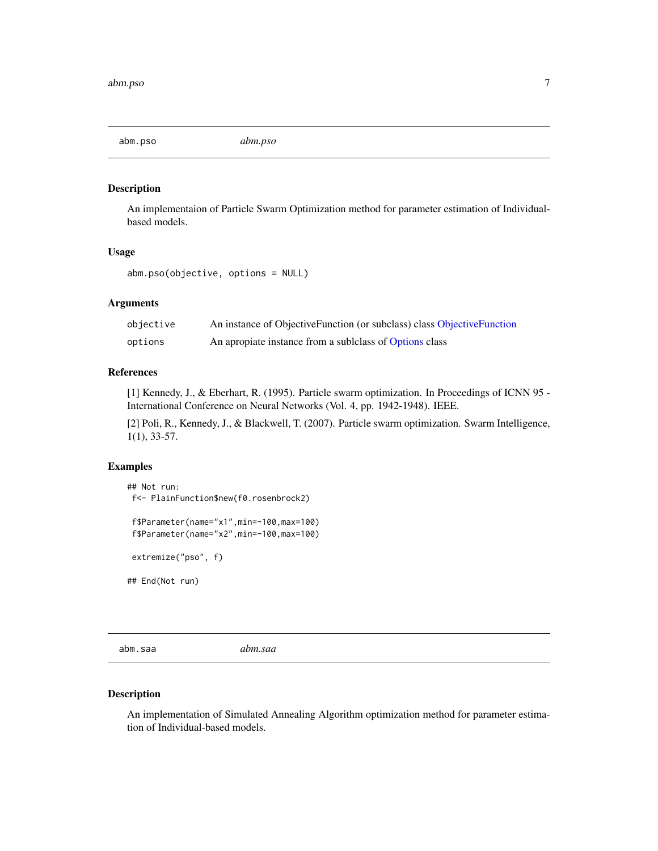<span id="page-6-0"></span>abm.pso *abm.pso*

# Description

An implementaion of Particle Swarm Optimization method for parameter estimation of Individualbased models.

#### Usage

abm.pso(objective, options = NULL)

#### Arguments

| objective | An instance of ObjectiveFunction (or subclass) class ObjectiveFunction |
|-----------|------------------------------------------------------------------------|
| options   | An apropiate instance from a sublelass of Options class                |

#### References

[1] Kennedy, J., & Eberhart, R. (1995). Particle swarm optimization. In Proceedings of ICNN 95 - International Conference on Neural Networks (Vol. 4, pp. 1942-1948). IEEE.

[2] Poli, R., Kennedy, J., & Blackwell, T. (2007). Particle swarm optimization. Swarm Intelligence, 1(1), 33-57.

#### Examples

```
## Not run:
f<- PlainFunction$new(f0.rosenbrock2)
 f$Parameter(name="x1",min=-100,max=100)
 f$Parameter(name="x2",min=-100,max=100)
extremize("pso", f)
## End(Not run)
```
abm.saa *abm.saa*

#### Description

An implementation of Simulated Annealing Algorithm optimization method for parameter estimation of Individual-based models.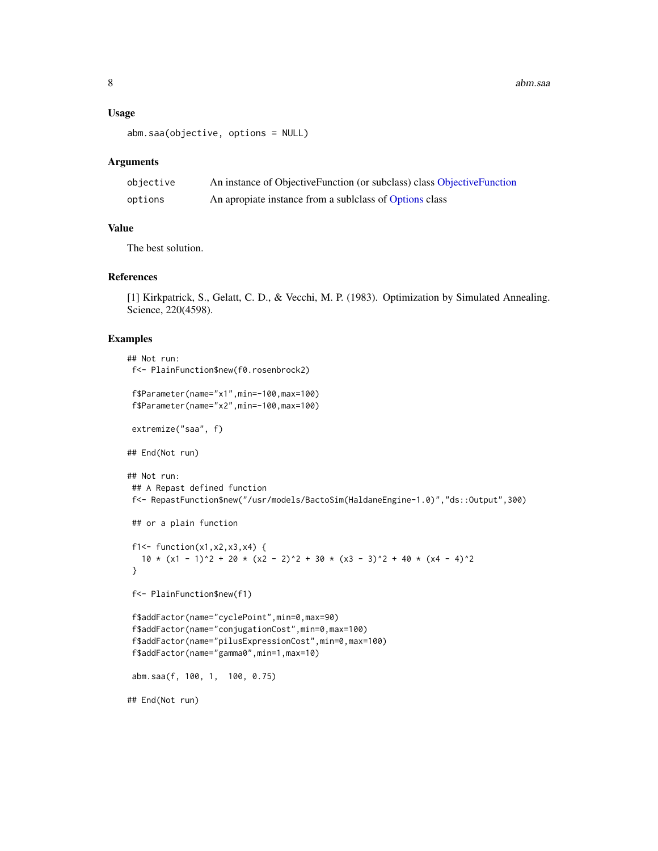#### Usage

```
abm.saa(objective, options = NULL)
```
#### Arguments

| objective | An instance of ObjectiveFunction (or subclass) class ObjectiveFunction |
|-----------|------------------------------------------------------------------------|
| options   | An apropiate instance from a sublelass of Options class                |

#### Value

The best solution.

#### References

[1] Kirkpatrick, S., Gelatt, C. D., & Vecchi, M. P. (1983). Optimization by Simulated Annealing. Science, 220(4598).

#### Examples

```
## Not run:
f<- PlainFunction$new(f0.rosenbrock2)
f$Parameter(name="x1",min=-100,max=100)
f$Parameter(name="x2",min=-100,max=100)
extremize("saa", f)
## End(Not run)
## Not run:
## A Repast defined function
f<- RepastFunction$new("/usr/models/BactoSim(HaldaneEngine-1.0)","ds::Output",300)
## or a plain function
f1<- function(x1, x2, x3, x4) {
  10 \times (x1 - 1)^2 + 20 \times (x2 - 2)^2 + 30 \times (x3 - 3)^2 + 40 \times (x4 - 4)^2}
f<- PlainFunction$new(f1)
f$addFactor(name="cyclePoint",min=0,max=90)
 f$addFactor(name="conjugationCost",min=0,max=100)
f$addFactor(name="pilusExpressionCost",min=0,max=100)
f$addFactor(name="gamma0",min=1,max=10)
abm.saa(f, 100, 1, 100, 0.75)
## End(Not run)
```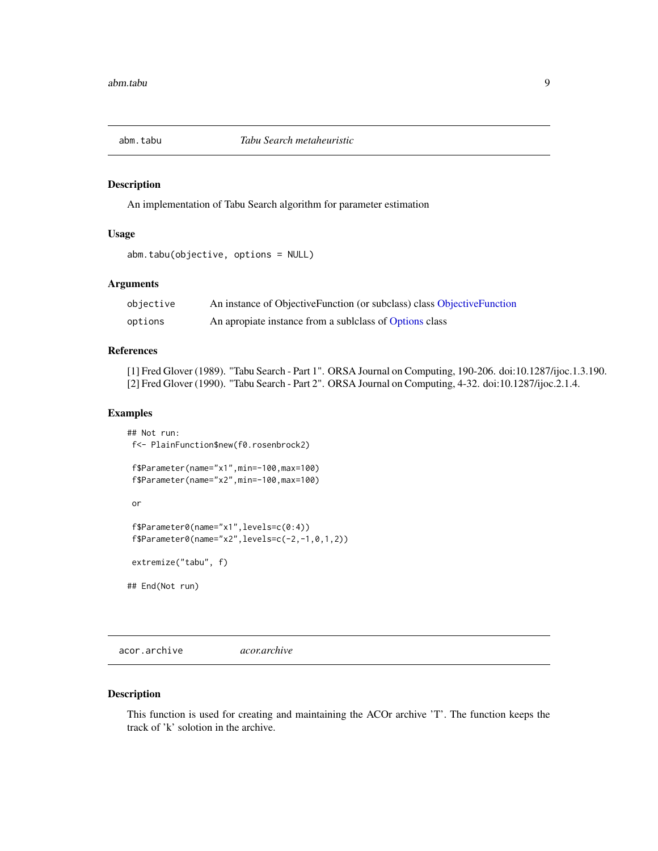<span id="page-8-0"></span>

#### Description

An implementation of Tabu Search algorithm for parameter estimation

#### Usage

```
abm.tabu(objective, options = NULL)
```
# Arguments

| objective | An instance of ObjectiveFunction (or subclass) class ObjectiveFunction |
|-----------|------------------------------------------------------------------------|
| options   | An apropiate instance from a sublelass of Options class                |

# References

[1] Fred Glover (1989). "Tabu Search - Part 1". ORSA Journal on Computing, 190-206. doi:10.1287/ijoc.1.3.190. [2] Fred Glover (1990). "Tabu Search - Part 2". ORSA Journal on Computing, 4-32. doi:10.1287/ijoc.2.1.4.

#### Examples

## Not run: f<- PlainFunction\$new(f0.rosenbrock2)

f\$Parameter(name="x1",min=-100,max=100) f\$Parameter(name="x2",min=-100,max=100)

or

```
f$Parameter0(name="x1",levels=c(0:4))
f$Parameter@(name="x2", levels=c(-2,-1,0,1,2))
```
extremize("tabu", f)

## End(Not run)

acor.archive *acor.archive*

#### Description

This function is used for creating and maintaining the ACOr archive 'T'. The function keeps the track of 'k' solotion in the archive.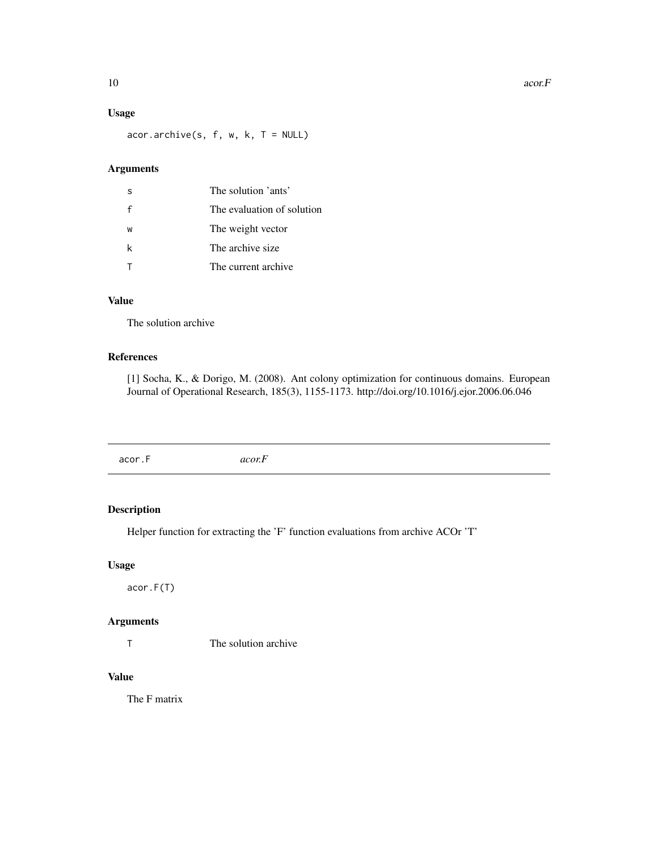<span id="page-9-0"></span>10 acor.F

#### Usage

 $acor.archive(s, f, w, k, T = NULL)$ 

# Arguments

| -S | The solution 'ants'        |
|----|----------------------------|
|    | The evaluation of solution |
| W  | The weight vector          |
| k  | The archive size           |
|    | The current archive        |

# Value

The solution archive

#### References

[1] Socha, K., & Dorigo, M. (2008). Ant colony optimization for continuous domains. European Journal of Operational Research, 185(3), 1155-1173. http://doi.org/10.1016/j.ejor.2006.06.046

acor.F *acor.F*

# Description

Helper function for extracting the 'F' function evaluations from archive ACOr 'T'

# Usage

acor.F(T)

# Arguments

T The solution archive

# Value

The F matrix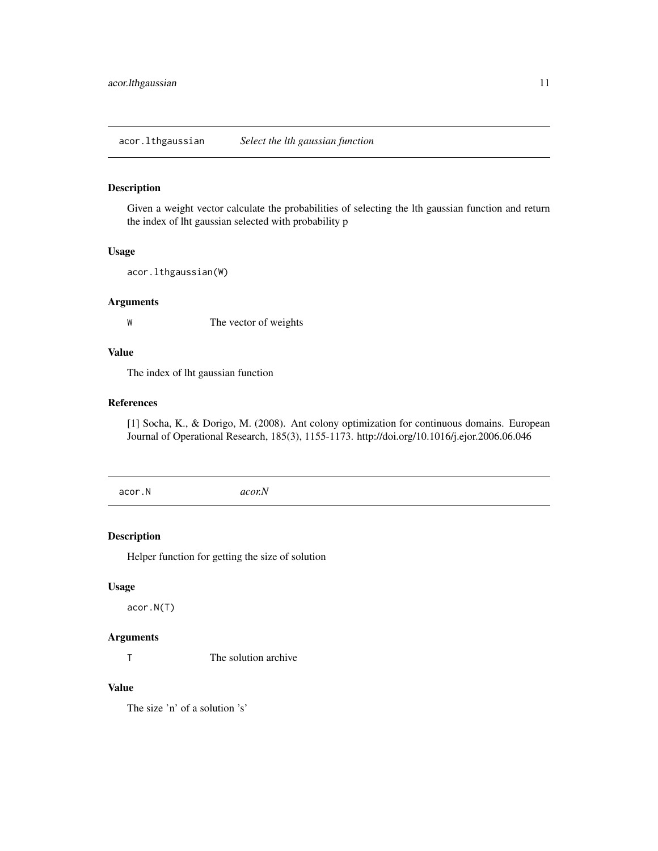<span id="page-10-0"></span>acor.lthgaussian *Select the lth gaussian function*

#### Description

Given a weight vector calculate the probabilities of selecting the lth gaussian function and return the index of lht gaussian selected with probability p

#### Usage

acor.lthgaussian(W)

#### Arguments

W The vector of weights

# Value

The index of lht gaussian function

#### References

[1] Socha, K., & Dorigo, M. (2008). Ant colony optimization for continuous domains. European Journal of Operational Research, 185(3), 1155-1173. http://doi.org/10.1016/j.ejor.2006.06.046

acor.N *acor.N*

#### Description

Helper function for getting the size of solution

#### Usage

acor.N(T)

# Arguments

T The solution archive

# Value

The size 'n' of a solution 's'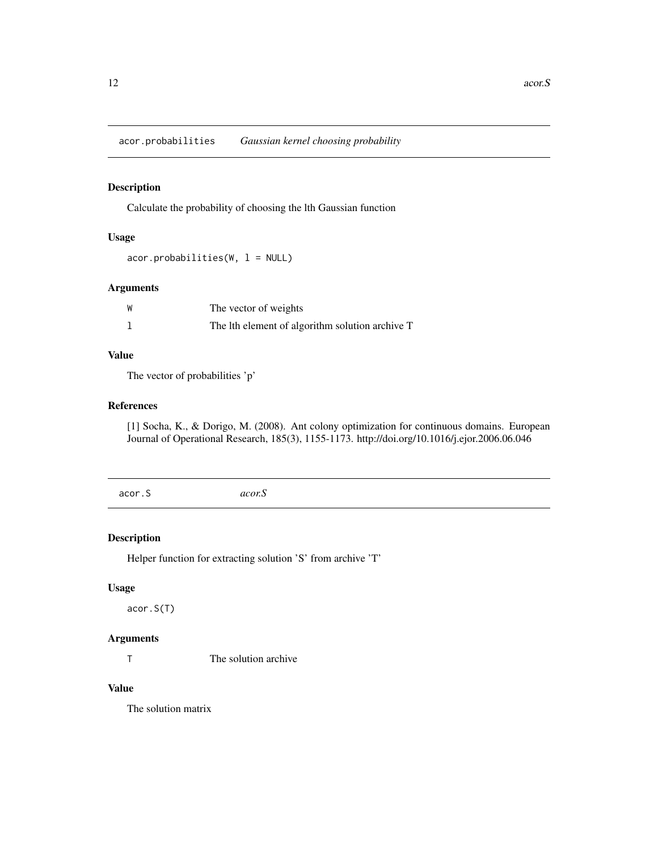<span id="page-11-0"></span>acor.probabilities *Gaussian kernel choosing probability*

# Description

Calculate the probability of choosing the lth Gaussian function

# Usage

 $acor.probabilities(W, 1 = NULL)$ 

# Arguments

| W | The vector of weights                           |
|---|-------------------------------------------------|
|   | The lth element of algorithm solution archive T |

#### Value

The vector of probabilities 'p'

#### References

[1] Socha, K., & Dorigo, M. (2008). Ant colony optimization for continuous domains. European Journal of Operational Research, 185(3), 1155-1173. http://doi.org/10.1016/j.ejor.2006.06.046

acor.S *acor.S*

#### Description

Helper function for extracting solution 'S' from archive 'T'

# Usage

acor.S(T)

# Arguments

T The solution archive

#### Value

The solution matrix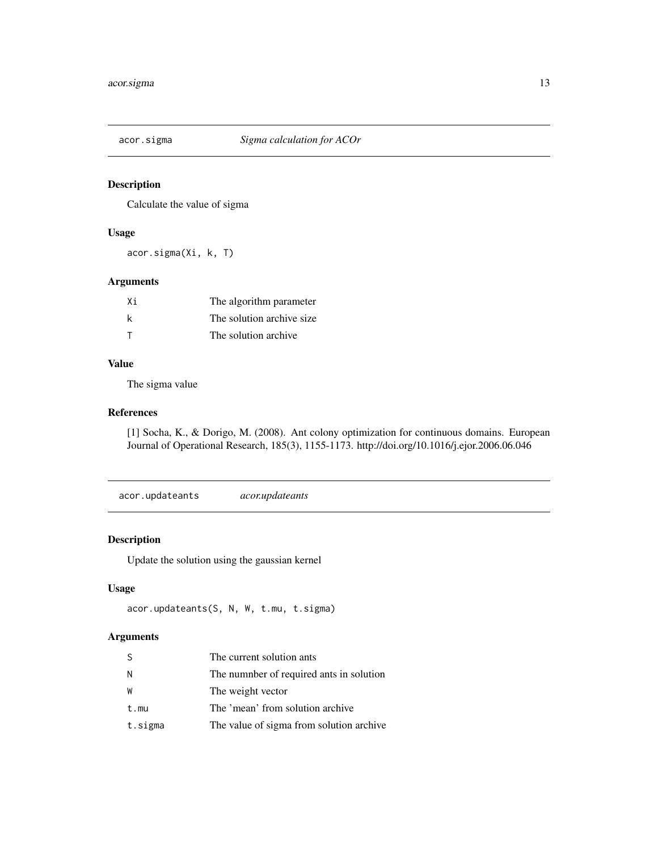<span id="page-12-0"></span>

# Description

Calculate the value of sigma

#### Usage

acor.sigma(Xi, k, T)

# Arguments

| Χi | The algorithm parameter    |
|----|----------------------------|
| k  | The solution archive size. |
| т  | The solution archive       |

#### Value

The sigma value

#### References

[1] Socha, K., & Dorigo, M. (2008). Ant colony optimization for continuous domains. European Journal of Operational Research, 185(3), 1155-1173. http://doi.org/10.1016/j.ejor.2006.06.046

acor.updateants *acor.updateants*

#### Description

Update the solution using the gaussian kernel

#### Usage

```
acor.updateants(S, N, W, t.mu, t.sigma)
```

| S       | The current solution ants                |
|---------|------------------------------------------|
| N       | The numnber of required ants in solution |
| W       | The weight vector                        |
| t.mu    | The 'mean' from solution archive         |
| t.sigma | The value of sigma from solution archive |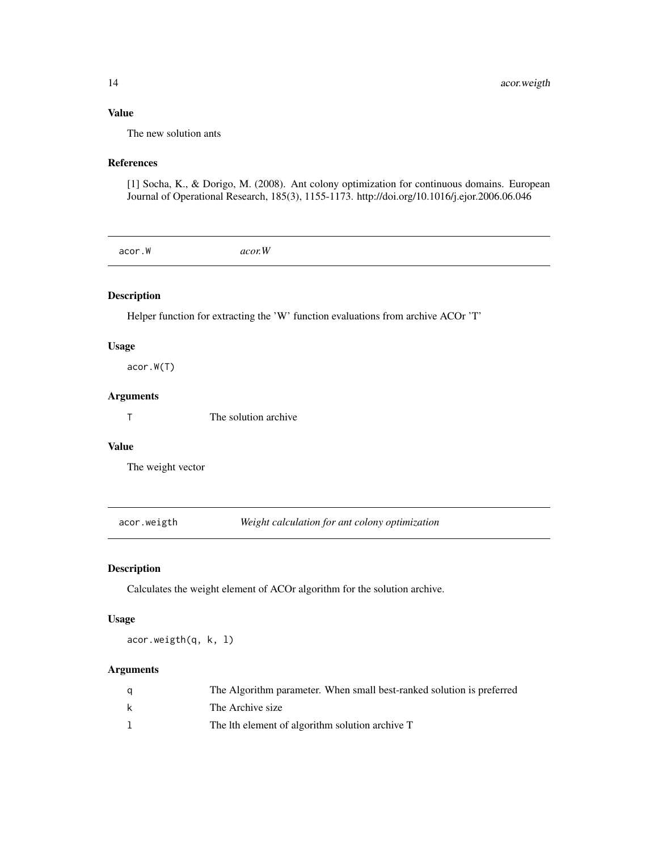# Value

The new solution ants

# References

[1] Socha, K., & Dorigo, M. (2008). Ant colony optimization for continuous domains. European Journal of Operational Research, 185(3), 1155-1173. http://doi.org/10.1016/j.ejor.2006.06.046

acor.W *acor.W*

# Description

Helper function for extracting the 'W' function evaluations from archive ACOr 'T'

#### Usage

acor.W(T)

# Arguments

T The solution archive

# Value

The weight vector

acor.weigth *Weight calculation for ant colony optimization*

# Description

Calculates the weight element of ACOr algorithm for the solution archive.

# Usage

acor.weigth(q, k, l)

| q | The Algorithm parameter. When small best-ranked solution is preferred |
|---|-----------------------------------------------------------------------|
| k | The Archive size                                                      |
|   | The lth element of algorithm solution archive T                       |

<span id="page-13-0"></span>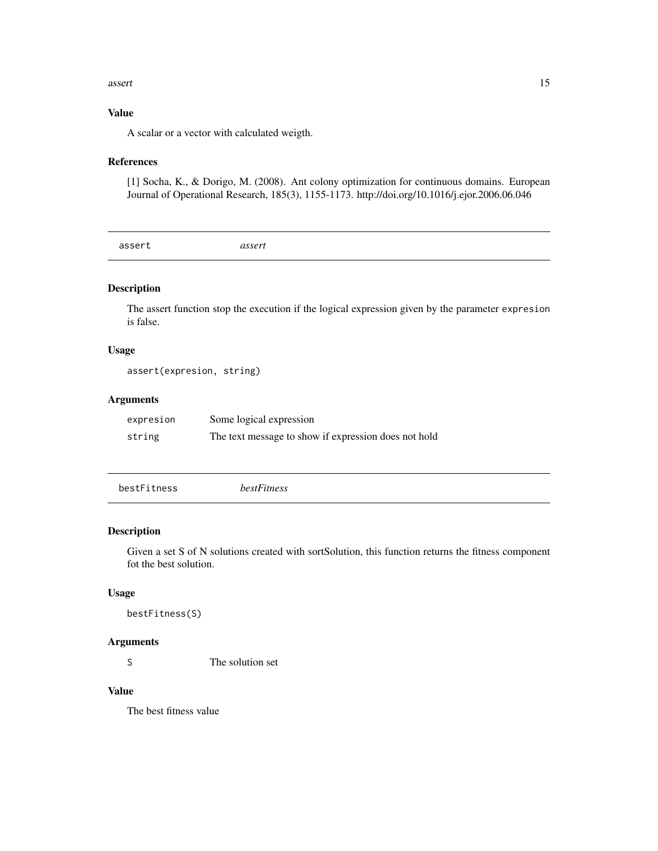#### <span id="page-14-0"></span>assert and the contract of the contract of the contract of the contract of the contract of the contract of the contract of the contract of the contract of the contract of the contract of the contract of the contract of the

#### Value

A scalar or a vector with calculated weigth.

#### References

[1] Socha, K., & Dorigo, M. (2008). Ant colony optimization for continuous domains. European Journal of Operational Research, 185(3), 1155-1173. http://doi.org/10.1016/j.ejor.2006.06.046

assert *assert*

# Description

The assert function stop the execution if the logical expression given by the parameter expresion is false.

#### Usage

assert(expresion, string)

#### Arguments

| expresion | Some logical expression                              |
|-----------|------------------------------------------------------|
| string    | The text message to show if expression does not hold |

| bestFitness | bestFitness |
|-------------|-------------|
|             |             |

# Description

Given a set S of N solutions created with sortSolution, this function returns the fitness component fot the best solution.

#### Usage

```
bestFitness(S)
```
#### Arguments

S The solution set

# Value

The best fitness value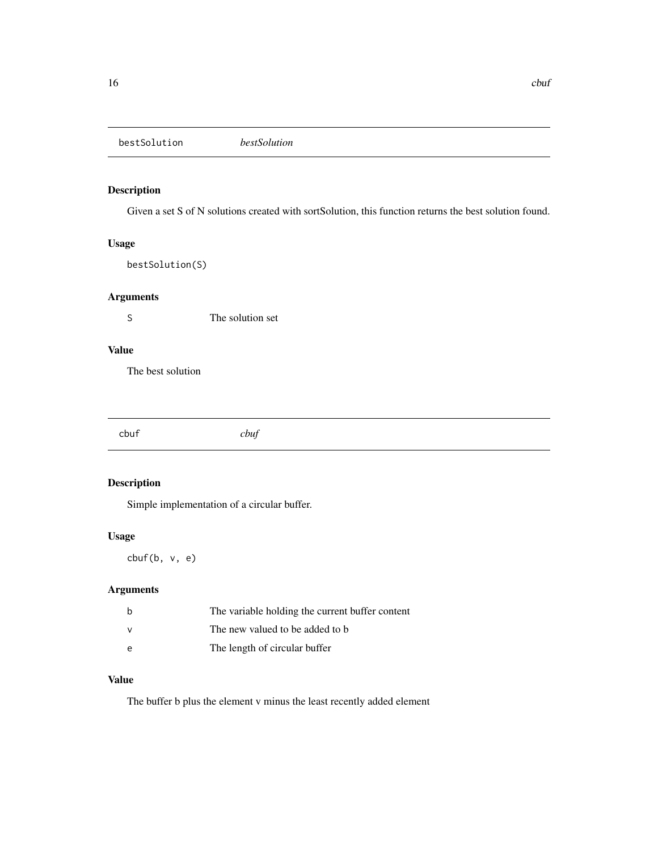<span id="page-15-0"></span>bestSolution *bestSolution*

# Description

Given a set S of N solutions created with sortSolution, this function returns the best solution found.

# Usage

bestSolution(S)

# Arguments

S The solution set

# Value

The best solution

cbuf *cbuf*

# Description

Simple implementation of a circular buffer.

#### Usage

cbuf(b, v, e)

# Arguments

| b            | The variable holding the current buffer content |
|--------------|-------------------------------------------------|
| <sup>V</sup> | The new valued to be added to b                 |
| e            | The length of circular buffer                   |

# Value

The buffer b plus the element v minus the least recently added element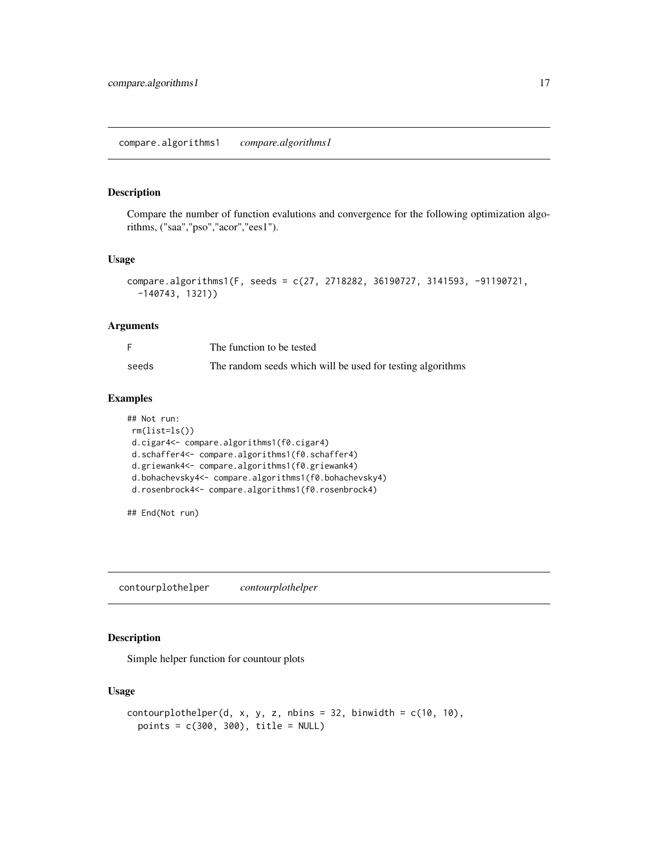#### <span id="page-16-0"></span>Description

Compare the number of function evalutions and convergence for the following optimization algorithms, ("saa","pso","acor","ees1").

#### Usage

```
compare.algorithms1(F, seeds = c(27, 2718282, 36190727, 3141593, -91190721,
  -140743, 1321))
```
#### Arguments

|       | The function to be tested                                  |
|-------|------------------------------------------------------------|
| seeds | The random seeds which will be used for testing algorithms |

#### Examples

```
## Not run:
rm(list=ls())
d.cigar4<- compare.algorithms1(f0.cigar4)
d.schaffer4<- compare.algorithms1(f0.schaffer4)
d.griewank4<- compare.algorithms1(f0.griewank4)
d.bohachevsky4<- compare.algorithms1(f0.bohachevsky4)
d.rosenbrock4<- compare.algorithms1(f0.rosenbrock4)
```
## End(Not run)

contourplothelper *contourplothelper*

# Description

Simple helper function for countour plots

# Usage

```
contourplothelper(d, x, y, z, nbins = 32, binwidth = c(10, 10),
  points = c(300, 300), title = NULL)
```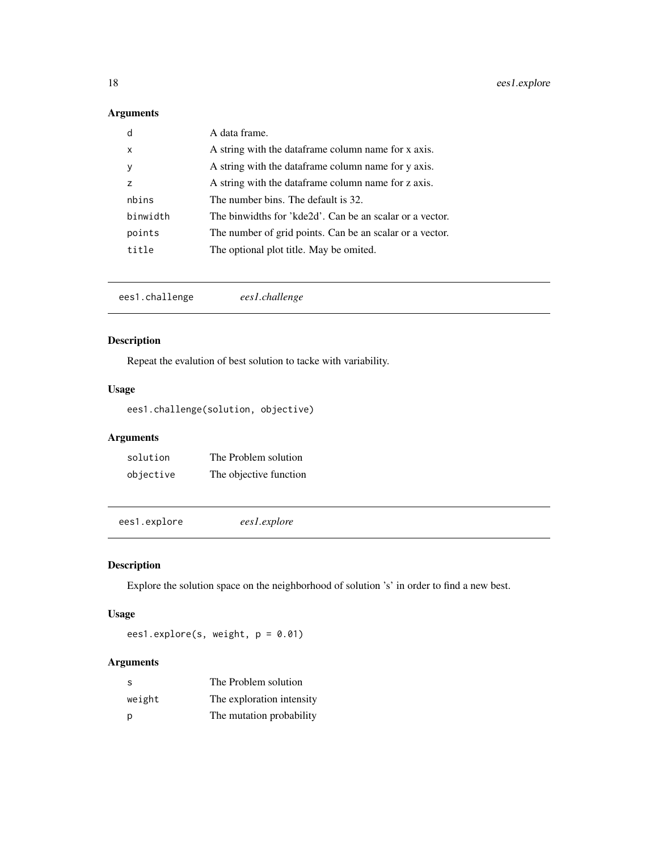# <span id="page-17-0"></span>Arguments

| d              | A data frame.                                            |
|----------------|----------------------------------------------------------|
| X              | A string with the data frame column name for x axis.     |
| <sub>V</sub>   | A string with the data frame column name for y axis.     |
| $\overline{z}$ | A string with the data frame column name for z axis.     |
| nbins          | The number bins. The default is 32.                      |
| binwidth       | The binwidths for 'kde2d'. Can be an scalar or a vector. |
| points         | The number of grid points. Can be an scalar or a vector. |
| title          | The optional plot title. May be omited.                  |

ees1.challenge *ees1.challenge*

# Description

Repeat the evalution of best solution to tacke with variability.

# Usage

ees1.challenge(solution, objective)

# Arguments

| solution  | The Problem solution   |
|-----------|------------------------|
| objective | The objective function |

ees1.explore *ees1.explore*

# Description

Explore the solution space on the neighborhood of solution 's' in order to find a new best.

# Usage

ees1.explore(s, weight, p = 0.01)

| -S     | The Problem solution      |
|--------|---------------------------|
| weight | The exploration intensity |
| p      | The mutation probability  |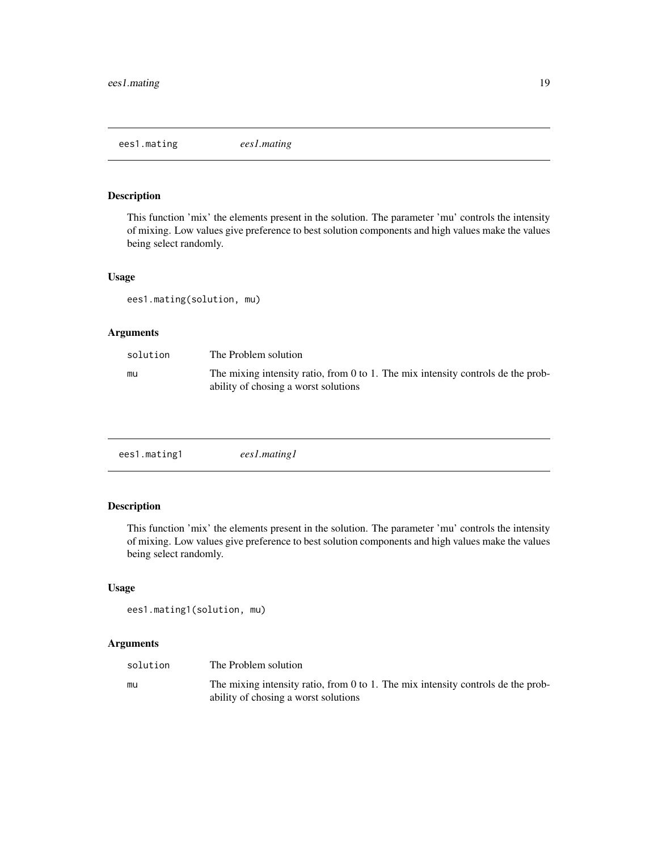<span id="page-18-0"></span>ees1.mating *ees1.mating*

# Description

This function 'mix' the elements present in the solution. The parameter 'mu' controls the intensity of mixing. Low values give preference to best solution components and high values make the values being select randomly.

#### Usage

ees1.mating(solution, mu)

#### Arguments

| solution | The Problem solution                                                                                                     |
|----------|--------------------------------------------------------------------------------------------------------------------------|
| mu       | The mixing intensity ratio, from 0 to 1. The mix intensity controls de the prob-<br>ability of chosing a worst solutions |

| ees1.mating1 | ees1.mating1 |
|--------------|--------------|
|              |              |

# Description

This function 'mix' the elements present in the solution. The parameter 'mu' controls the intensity of mixing. Low values give preference to best solution components and high values make the values being select randomly.

#### Usage

```
ees1.mating1(solution, mu)
```

| solution | The Problem solution                                                                                                     |
|----------|--------------------------------------------------------------------------------------------------------------------------|
| mu       | The mixing intensity ratio, from 0 to 1. The mix intensity controls de the prob-<br>ability of chosing a worst solutions |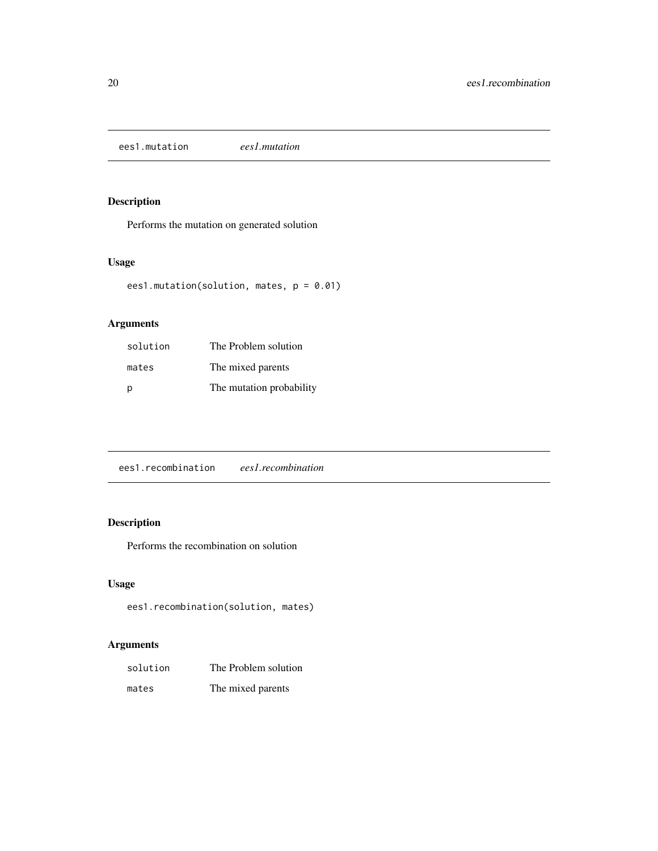<span id="page-19-0"></span>ees1.mutation *ees1.mutation*

# Description

Performs the mutation on generated solution

# Usage

```
ees1.mutation(solution, mates, p = 0.01)
```
# Arguments

| solution | The Problem solution     |
|----------|--------------------------|
| mates    | The mixed parents        |
| D        | The mutation probability |

ees1.recombination *ees1.recombination*

# Description

Performs the recombination on solution

# Usage

```
ees1.recombination(solution, mates)
```

| solution | The Problem solution |
|----------|----------------------|
| mates    | The mixed parents    |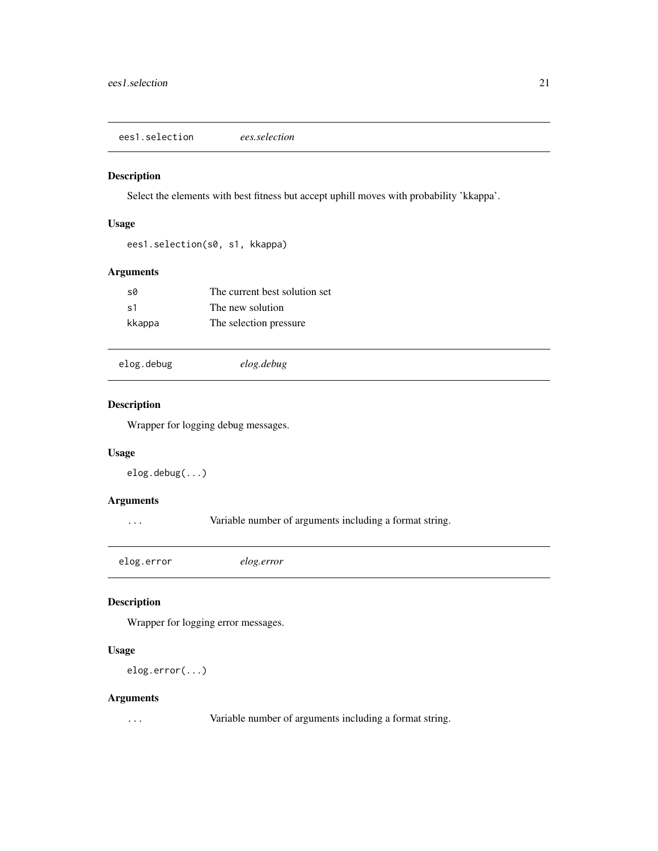<span id="page-20-0"></span>ees1.selection *ees.selection*

# Description

Select the elements with best fitness but accept uphill moves with probability 'kkappa'.

# Usage

```
ees1.selection(s0, s1, kkappa)
```
# Arguments

| sØ     | The current best solution set |
|--------|-------------------------------|
| .s1    | The new solution              |
| kkappa | The selection pressure        |

elog.debug *elog.debug*

#### Description

Wrapper for logging debug messages.

#### Usage

elog.debug(...)

# Arguments

... Variable number of arguments including a format string.

elog.error *elog.error*

# Description

Wrapper for logging error messages.

# Usage

elog.error(...)

#### Arguments

... Variable number of arguments including a format string.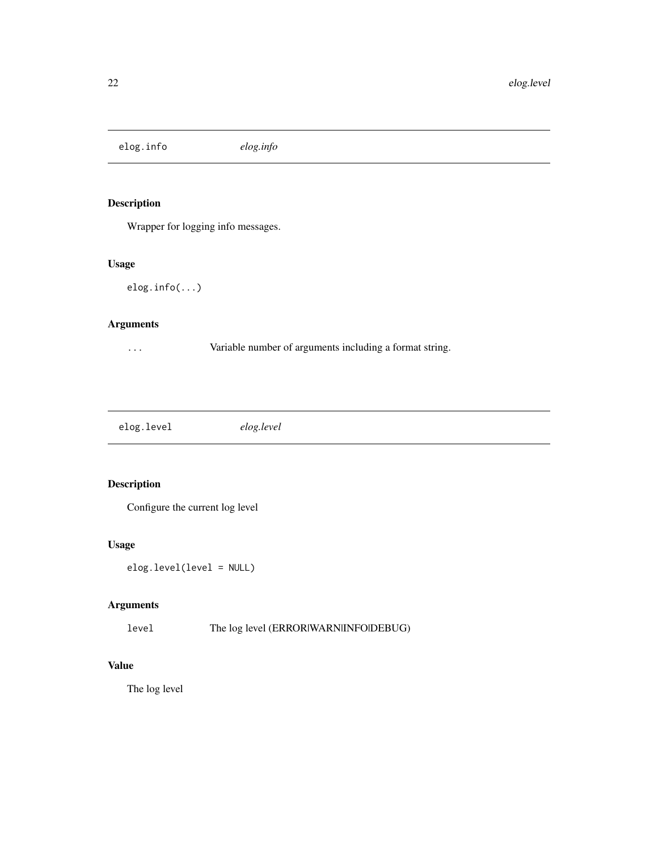<span id="page-21-0"></span>elog.info *elog.info*

# Description

Wrapper for logging info messages.

# Usage

elog.info(...)

# Arguments

... Variable number of arguments including a format string.

| elog.level | elog.level |
|------------|------------|
|            |            |

# Description

Configure the current log level

# Usage

```
elog.level(level = NULL)
```
# Arguments

level The log level (ERROR|WARN|INFO|DEBUG)

# Value

The log level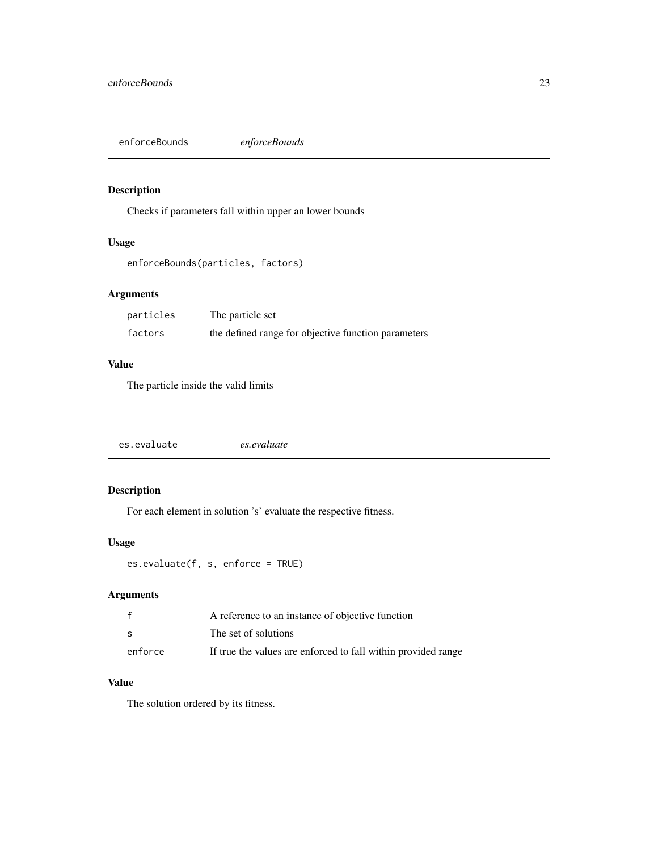<span id="page-22-0"></span>enforceBounds *enforceBounds*

# Description

Checks if parameters fall within upper an lower bounds

# Usage

```
enforceBounds(particles, factors)
```
# Arguments

| particles | The particle set                                    |
|-----------|-----------------------------------------------------|
| factors   | the defined range for objective function parameters |

#### Value

The particle inside the valid limits

|--|--|

# Description

For each element in solution 's' evaluate the respective fitness.

# Usage

```
es.evaluate(f, s, enforce = TRUE)
```
# Arguments

|         | A reference to an instance of objective function              |
|---------|---------------------------------------------------------------|
| -S      | The set of solutions                                          |
| enforce | If true the values are enforced to fall within provided range |

# Value

The solution ordered by its fitness.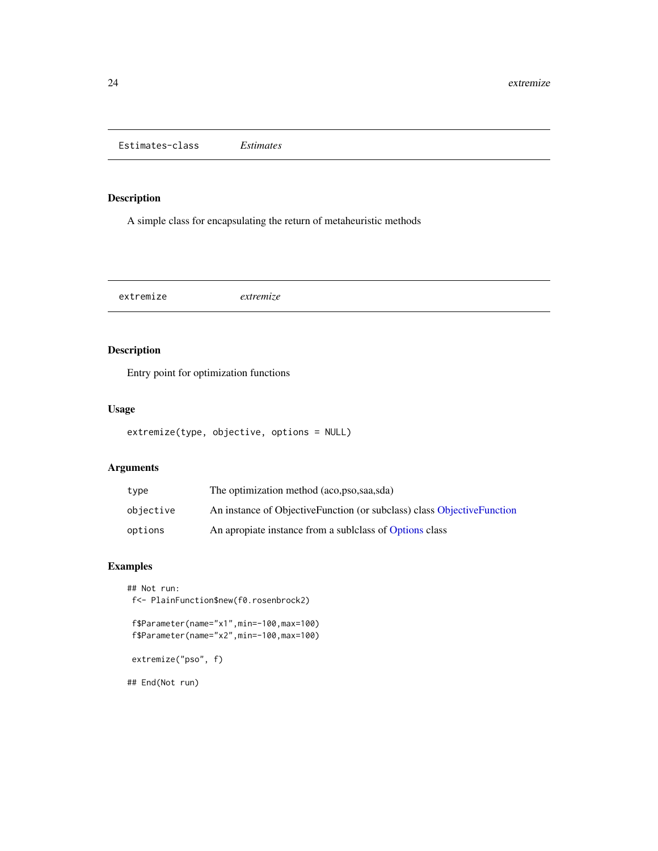<span id="page-23-0"></span>Estimates-class *Estimates*

# Description

A simple class for encapsulating the return of metaheuristic methods

extremize *extremize*

# Description

Entry point for optimization functions

# Usage

```
extremize(type, objective, options = NULL)
```
#### Arguments

| type      | The optimization method (aco, pso, saa, sda)                           |
|-----------|------------------------------------------------------------------------|
| objective | An instance of ObjectiveFunction (or subclass) class ObjectiveFunction |
| options   | An apropiate instance from a sublelass of Options class                |

# Examples

```
## Not run:
f<- PlainFunction$new(f0.rosenbrock2)
 f$Parameter(name="x1",min=-100,max=100)
 f$Parameter(name="x2",min=-100,max=100)
extremize("pso", f)
## End(Not run)
```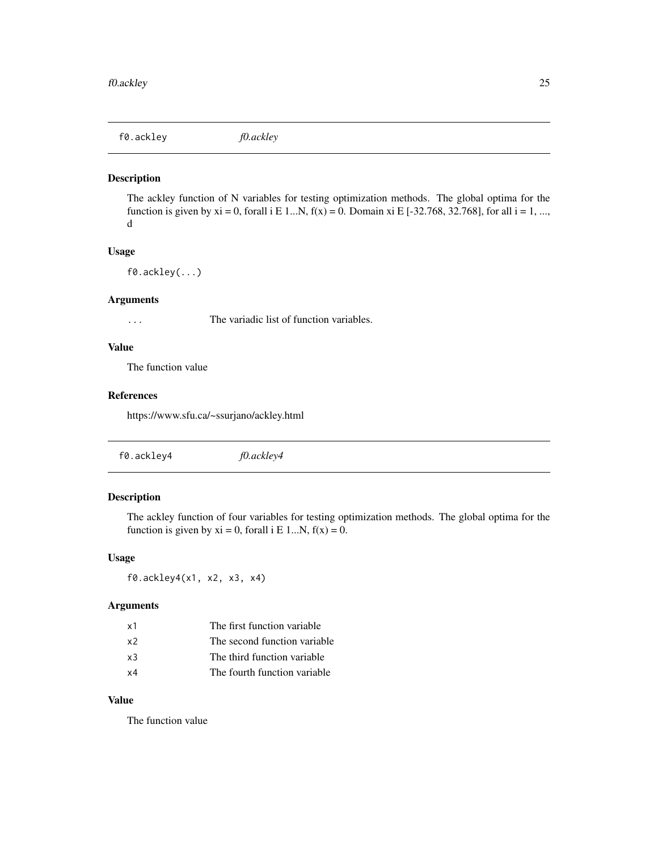<span id="page-24-0"></span>f0.ackley *f0.ackley*

#### Description

The ackley function of N variables for testing optimization methods. The global optima for the function is given by  $xi = 0$ , forall i E 1...N,  $f(x) = 0$ . Domain  $xi$  E [-32.768, 32.768], for all  $i = 1, ...,$ d

#### Usage

f0.ackley(...)

#### Arguments

... The variadic list of function variables.

#### Value

The function value

#### References

https://www.sfu.ca/~ssurjano/ackley.html

| f0.ackley4 | f0.ackley4 |
|------------|------------|
|------------|------------|

# Description

The ackley function of four variables for testing optimization methods. The global optima for the function is given by  $xi = 0$ , forall i E 1...N,  $f(x) = 0$ .

#### Usage

f0.ackley4(x1, x2, x3, x4)

#### Arguments

| x1 | The first function variable  |
|----|------------------------------|
| x2 | The second function variable |
| x3 | The third function variable  |
| x4 | The fourth function variable |

# Value

The function value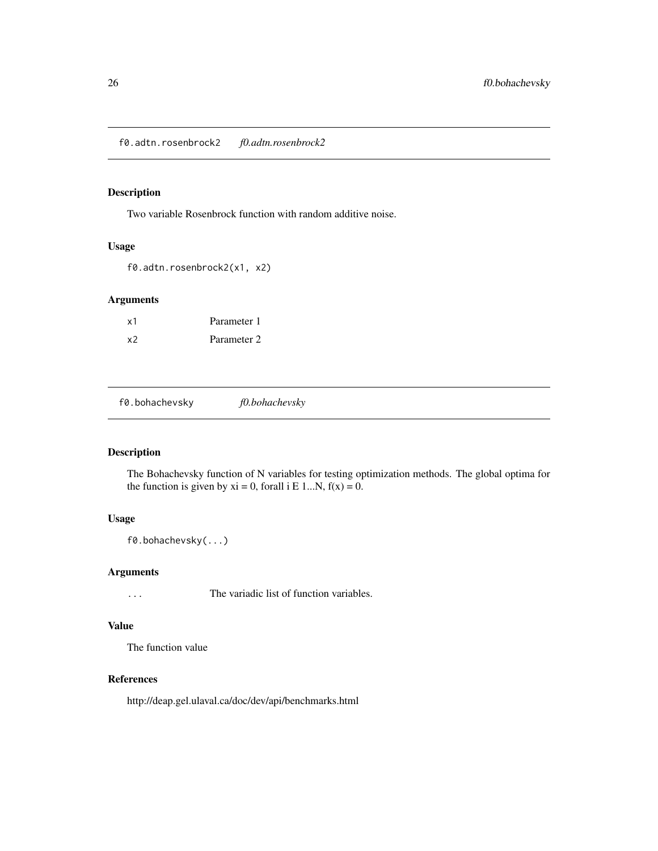<span id="page-25-0"></span>f0.adtn.rosenbrock2 *f0.adtn.rosenbrock2*

# Description

Two variable Rosenbrock function with random additive noise.

#### Usage

f0.adtn.rosenbrock2(x1, x2)

#### Arguments

| x1 | Parameter 1 |
|----|-------------|
| x2 | Parameter 2 |

f0.bohachevsky *f0.bohachevsky*

# Description

The Bohachevsky function of N variables for testing optimization methods. The global optima for the function is given by  $xi = 0$ , forall i E 1...N,  $f(x) = 0$ .

#### Usage

f0.bohachevsky(...)

#### Arguments

... The variadic list of function variables.

#### Value

The function value

# References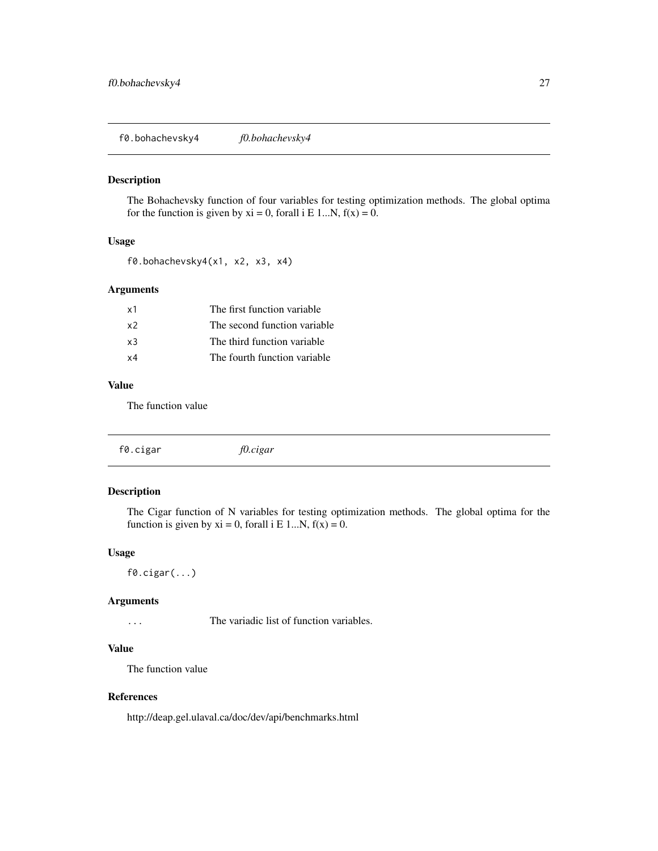<span id="page-26-0"></span>f0.bohachevsky4 *f0.bohachevsky4*

#### Description

The Bohachevsky function of four variables for testing optimization methods. The global optima for the function is given by  $xi = 0$ , forall i E 1...N,  $f(x) = 0$ .

# Usage

f0.bohachevsky4(x1, x2, x3, x4)

#### Arguments

| x1             | The first function variable  |
|----------------|------------------------------|
| x <sub>2</sub> | The second function variable |
| $\times$ 3     | The third function variable  |
| x4             | The fourth function variable |
|                |                              |

#### Value

The function value

|  | f0.cigar | f0.cigar |  |  |  |
|--|----------|----------|--|--|--|
|--|----------|----------|--|--|--|

#### Description

The Cigar function of N variables for testing optimization methods. The global optima for the function is given by  $xi = 0$ , forall i E 1...N,  $f(x) = 0$ .

#### Usage

f0.cigar(...)

#### Arguments

... The variadic list of function variables.

#### Value

The function value

#### References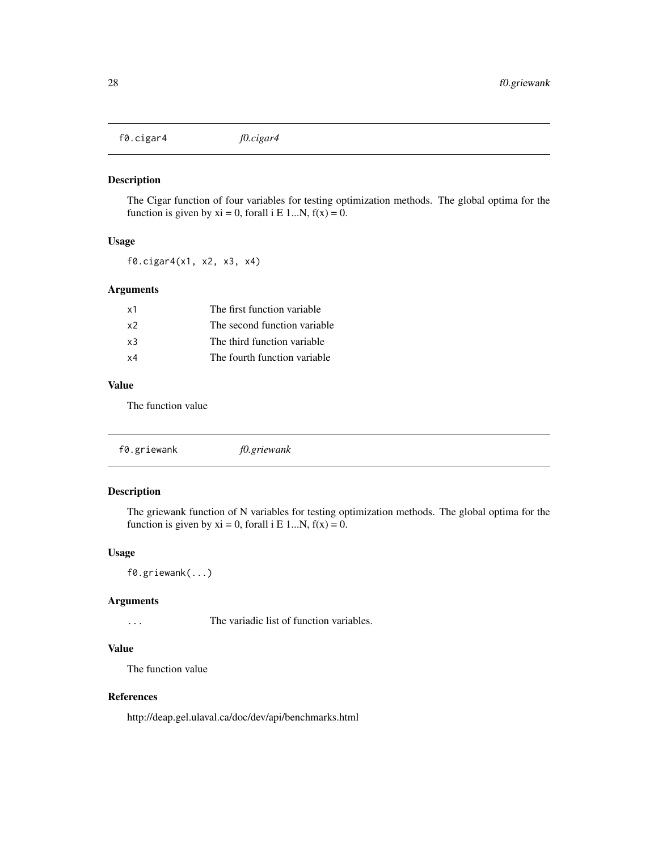<span id="page-27-0"></span>f0.cigar4 *f0.cigar4*

#### Description

The Cigar function of four variables for testing optimization methods. The global optima for the function is given by  $xi = 0$ , forall i E 1...N,  $f(x) = 0$ .

# Usage

f0.cigar4(x1, x2, x3, x4)

# Arguments

| x1         | The first function variable  |
|------------|------------------------------|
| x2         | The second function variable |
| x3         | The third function variable  |
| $\times 4$ | The fourth function variable |
|            |                              |

#### Value

The function value

| f0.griewank | f0.griewank |  |  |
|-------------|-------------|--|--|
|-------------|-------------|--|--|

# Description

The griewank function of N variables for testing optimization methods. The global optima for the function is given by  $xi = 0$ , forall i E 1...N,  $f(x) = 0$ .

#### Usage

f0.griewank(...)

#### Arguments

... The variadic list of function variables.

# Value

The function value

# References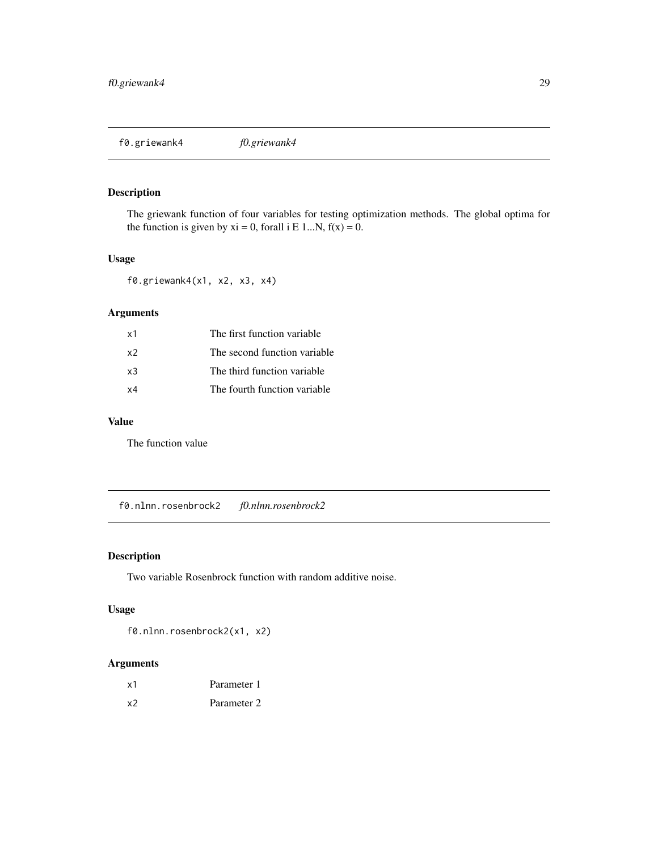<span id="page-28-0"></span>f0.griewank4 *f0.griewank4*

# Description

The griewank function of four variables for testing optimization methods. The global optima for the function is given by  $xi = 0$ , forall i E 1...N,  $f(x) = 0$ .

# Usage

f0.griewank4(x1, x2, x3, x4)

# Arguments

| x1 | The first function variable  |
|----|------------------------------|
| х2 | The second function variable |
| xЗ | The third function variable  |
| х4 | The fourth function variable |

# Value

The function value

f0.nlnn.rosenbrock2 *f0.nlnn.rosenbrock2*

# Description

Two variable Rosenbrock function with random additive noise.

# Usage

f0.nlnn.rosenbrock2(x1, x2)

| x1 | Parameter 1 |
|----|-------------|
| x2 | Parameter 2 |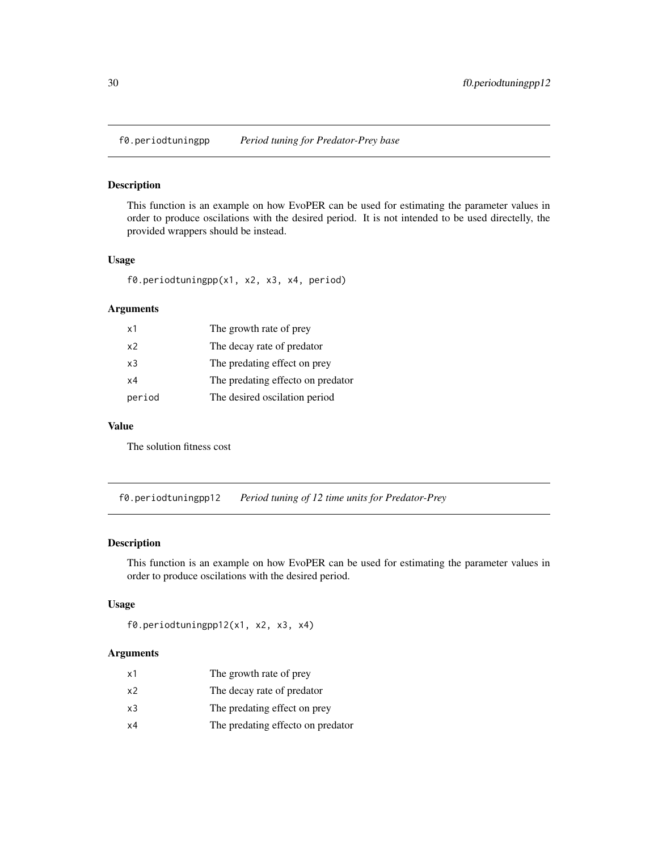<span id="page-29-0"></span>f0.periodtuningpp *Period tuning for Predator-Prey base*

#### Description

This function is an example on how EvoPER can be used for estimating the parameter values in order to produce oscilations with the desired period. It is not intended to be used directelly, the provided wrappers should be instead.

#### Usage

```
f0.periodtuningpp(x1, x2, x3, x4, period)
```
#### Arguments

| x1             | The growth rate of prey           |
|----------------|-----------------------------------|
| x2             | The decay rate of predator        |
| x <sub>3</sub> | The predating effect on prey      |
| x4             | The predating effecto on predator |
| period         | The desired oscilation period     |

#### Value

The solution fitness cost

f0.periodtuningpp12 *Period tuning of 12 time units for Predator-Prey*

# Description

This function is an example on how EvoPER can be used for estimating the parameter values in order to produce oscilations with the desired period.

#### Usage

```
f0.periodtuningpp12(x1, x2, x3, x4)
```

| x1 | The growth rate of prey           |
|----|-----------------------------------|
| x2 | The decay rate of predator        |
| x3 | The predating effect on prey      |
| х4 | The predating effecto on predator |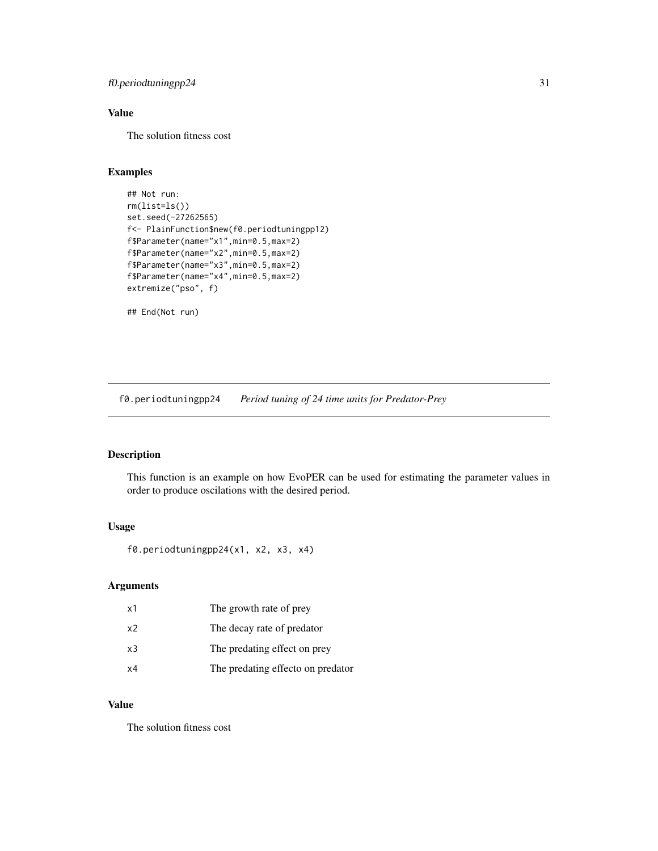# <span id="page-30-0"></span>f0.periodtuningpp24 31

# Value

The solution fitness cost

# Examples

```
## Not run:
rm(list=ls())
set.seed(-27262565)
f<- PlainFunction$new(f0.periodtuningpp12)
f$Parameter(name="x1",min=0.5,max=2)
f$Parameter(name="x2",min=0.5,max=2)
f$Parameter(name="x3",min=0.5,max=2)
f$Parameter(name="x4",min=0.5,max=2)
extremize("pso", f)
```
## End(Not run)

f0.periodtuningpp24 *Period tuning of 24 time units for Predator-Prey*

# Description

This function is an example on how EvoPER can be used for estimating the parameter values in order to produce oscilations with the desired period.

# Usage

f0.periodtuningpp24(x1, x2, x3, x4)

#### Arguments

| x1             | The growth rate of prey           |
|----------------|-----------------------------------|
| x <sub>2</sub> | The decay rate of predator        |
| x3             | The predating effect on prey      |
| x4             | The predating effecto on predator |

# Value

The solution fitness cost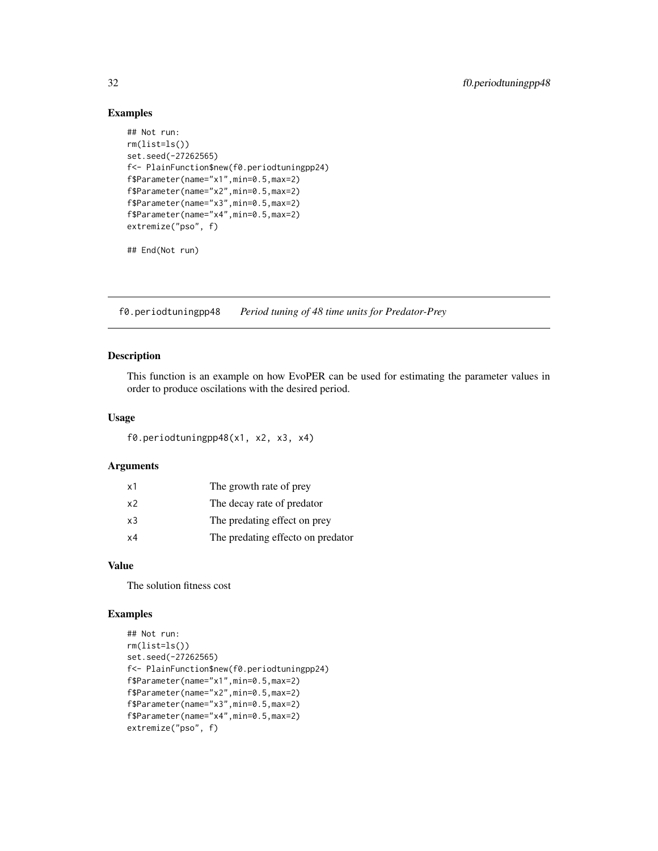#### Examples

```
## Not run:
rm(list=ls())
set.seed(-27262565)
f<- PlainFunction$new(f0.periodtuningpp24)
f$Parameter(name="x1",min=0.5,max=2)
f$Parameter(name="x2",min=0.5,max=2)
f$Parameter(name="x3",min=0.5,max=2)
f$Parameter(name="x4",min=0.5,max=2)
extremize("pso", f)
```
## End(Not run)

f0.periodtuningpp48 *Period tuning of 48 time units for Predator-Prey*

# Description

This function is an example on how EvoPER can be used for estimating the parameter values in order to produce oscilations with the desired period.

#### Usage

f0.periodtuningpp48(x1, x2, x3, x4)

#### Arguments

| x1 | The growth rate of prey           |
|----|-----------------------------------|
| x2 | The decay rate of predator        |
| x3 | The predating effect on prey      |
| x4 | The predating effecto on predator |

# Value

The solution fitness cost

# Examples

```
## Not run:
rm(list=ls())
set.seed(-27262565)
f<- PlainFunction$new(f0.periodtuningpp24)
f$Parameter(name="x1",min=0.5,max=2)
f$Parameter(name="x2",min=0.5,max=2)
f$Parameter(name="x3",min=0.5,max=2)
f$Parameter(name="x4",min=0.5,max=2)
extremize("pso", f)
```
<span id="page-31-0"></span>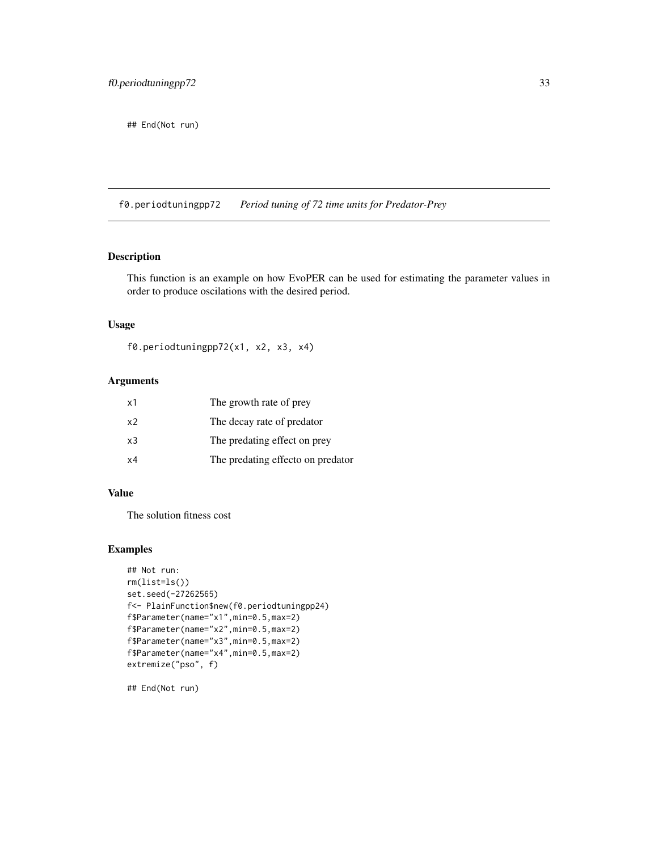<span id="page-32-0"></span>## End(Not run)

f0.periodtuningpp72 *Period tuning of 72 time units for Predator-Prey*

#### Description

This function is an example on how EvoPER can be used for estimating the parameter values in order to produce oscilations with the desired period.

#### Usage

f0.periodtuningpp72(x1, x2, x3, x4)

# Arguments

| x1             | The growth rate of prey           |
|----------------|-----------------------------------|
| x <sub>2</sub> | The decay rate of predator        |
| x3             | The predating effect on prey      |
| x4             | The predating effecto on predator |

#### Value

The solution fitness cost

# Examples

```
## Not run:
rm(list=ls())
set.seed(-27262565)
f<- PlainFunction$new(f0.periodtuningpp24)
f$Parameter(name="x1",min=0.5,max=2)
f$Parameter(name="x2",min=0.5,max=2)
f$Parameter(name="x3",min=0.5,max=2)
f$Parameter(name="x4",min=0.5,max=2)
extremize("pso", f)
```
## End(Not run)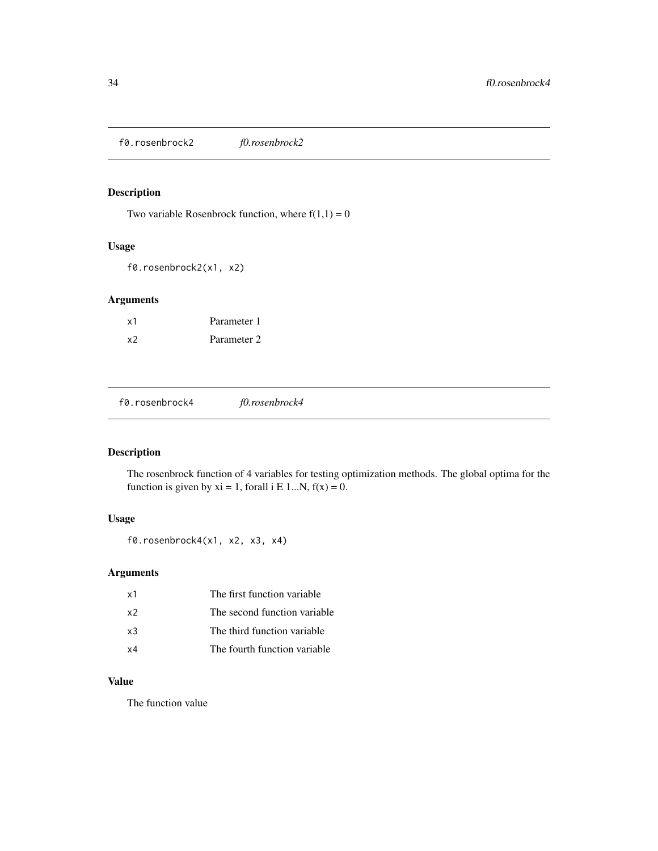<span id="page-33-0"></span>f0.rosenbrock2 *f0.rosenbrock2*

# Description

Two variable Rosenbrock function, where  $f(1,1) = 0$ 

#### Usage

f0.rosenbrock2(x1, x2)

# Arguments

| x1 | Parameter 1 |
|----|-------------|
| x2 | Parameter 2 |

f0.rosenbrock4 *f0.rosenbrock4*

# Description

The rosenbrock function of 4 variables for testing optimization methods. The global optima for the function is given by  $xi = 1$ , forall i E 1...N,  $f(x) = 0$ .

#### Usage

f0.rosenbrock4(x1, x2, x3, x4)

# Arguments

| x1             | The first function variable. |
|----------------|------------------------------|
| x <sub>2</sub> | The second function variable |
| $\times$ 3     | The third function variable  |
| $\times 4$     | The fourth function variable |

#### Value

The function value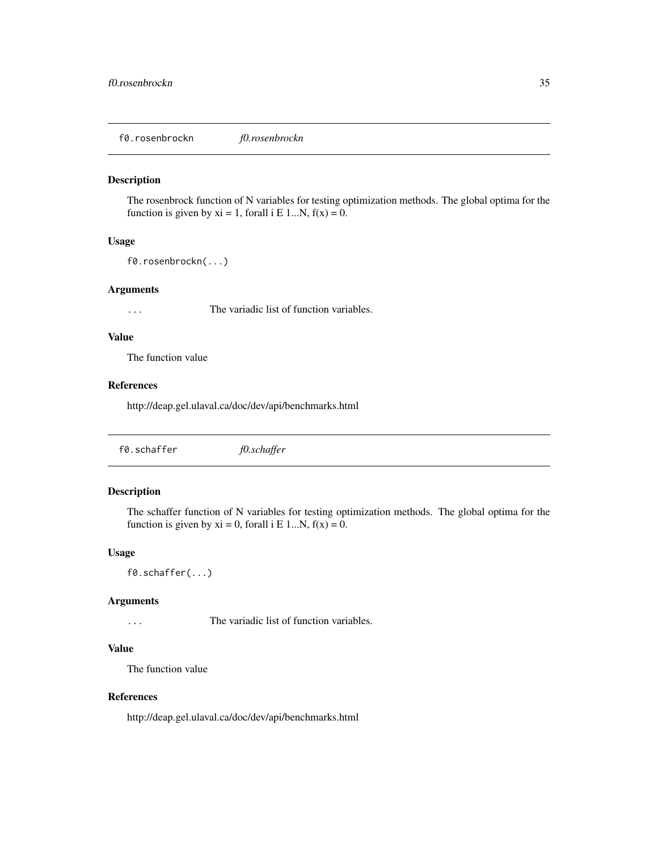<span id="page-34-0"></span>f0.rosenbrockn *f0.rosenbrockn*

#### Description

The rosenbrock function of N variables for testing optimization methods. The global optima for the function is given by  $xi = 1$ , forall i E 1...N,  $f(x) = 0$ .

# Usage

f0.rosenbrockn(...)

#### Arguments

... The variadic list of function variables.

#### Value

The function value

#### References

http://deap.gel.ulaval.ca/doc/dev/api/benchmarks.html

| f0.schaffer | f0.schaffer |  |  |
|-------------|-------------|--|--|
|-------------|-------------|--|--|

# Description

The schaffer function of N variables for testing optimization methods. The global optima for the function is given by  $xi = 0$ , forall i E 1...N,  $f(x) = 0$ .

#### Usage

f0.schaffer(...)

#### Arguments

... The variadic list of function variables.

#### Value

The function value

#### References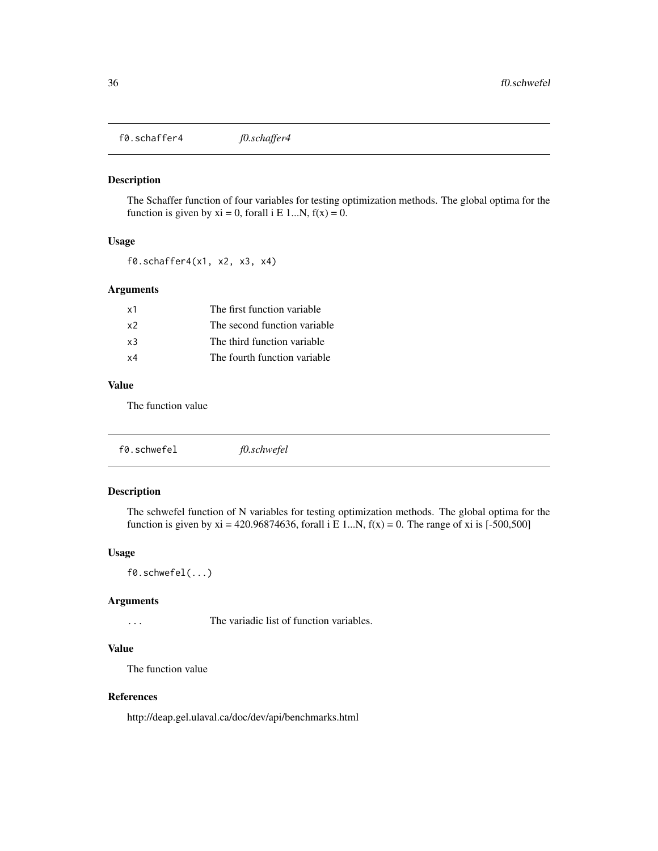<span id="page-35-0"></span>f0.schaffer4 *f0.schaffer4*

#### Description

The Schaffer function of four variables for testing optimization methods. The global optima for the function is given by  $xi = 0$ , forall i E 1...N,  $f(x) = 0$ .

# Usage

f0.schaffer4(x1, x2, x3, x4)

#### Arguments

| x1             | The first function variable  |  |
|----------------|------------------------------|--|
| x <sub>2</sub> | The second function variable |  |
| x3             | The third function variable  |  |
| x4             | The fourth function variable |  |
|                |                              |  |

#### Value

The function value

| f0.schwefel | f0.schwefel |  |
|-------------|-------------|--|
|             |             |  |

#### Description

The schwefel function of N variables for testing optimization methods. The global optima for the function is given by  $xi = 420.96874636$ , forall i E 1...N,  $f(x) = 0$ . The range of xi is [-500,500]

#### Usage

f0.schwefel(...)

#### Arguments

... The variadic list of function variables.

# Value

The function value

# References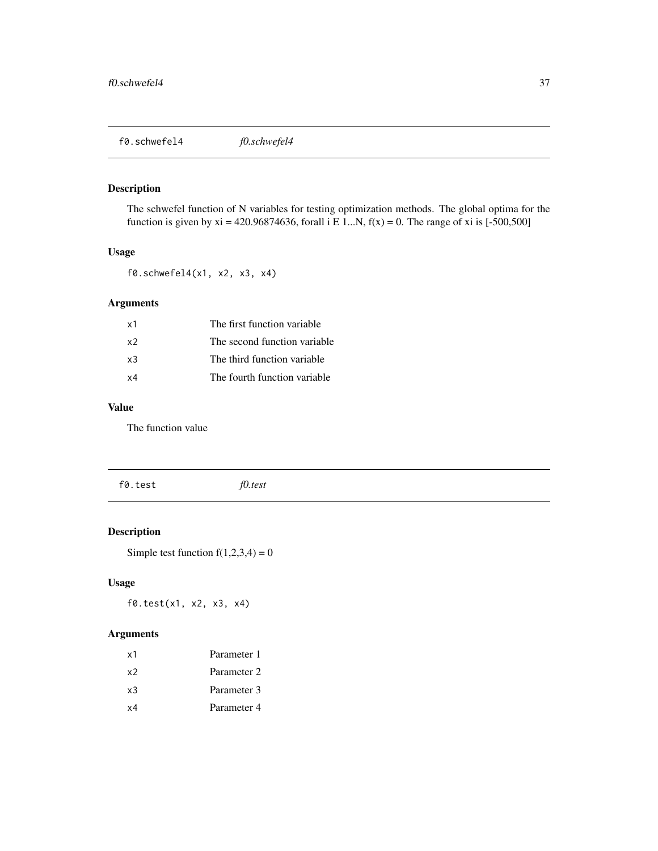f0.schwefel4 *f0.schwefel4*

## Description

The schwefel function of N variables for testing optimization methods. The global optima for the function is given by xi = 420.96874636, forall i E 1...N,  $f(x) = 0$ . The range of xi is [-500,500]

#### Usage

f0.schwefel4(x1, x2, x3, x4)

## Arguments

| x1             | The first function variable  |
|----------------|------------------------------|
| x <sub>2</sub> | The second function variable |
| x3             | The third function variable  |
| $\times 4$     | The fourth function variable |

## Value

The function value

f0.test *f0.test*

# Description

Simple test function  $f(1,2,3,4) = 0$ 

## Usage

f0.test(x1, x2, x3, x4)

# Arguments

| x1 | Parameter 1 |
|----|-------------|
| х2 | Parameter 2 |
| x3 | Parameter 3 |
| x4 | Parameter 4 |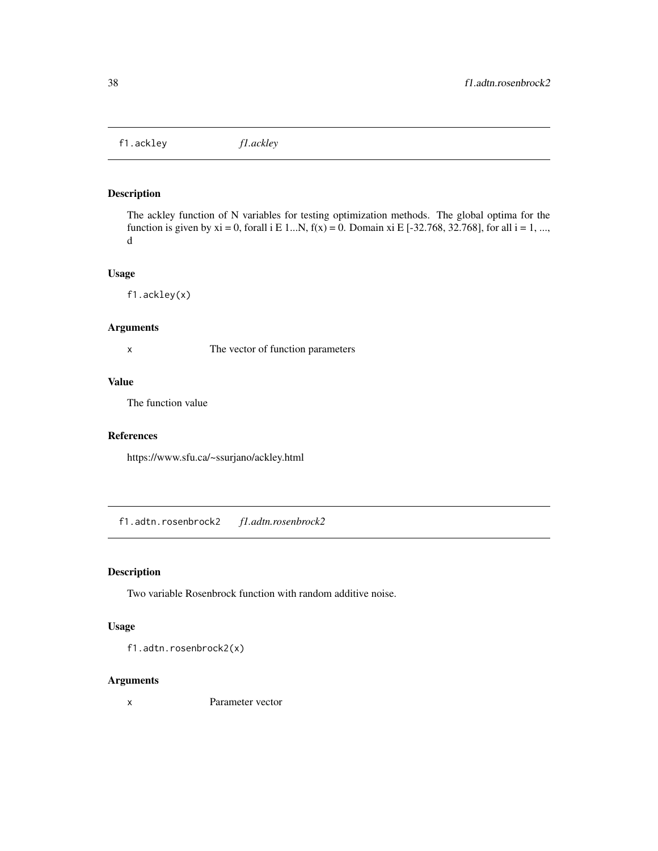f1.ackley *f1.ackley*

## Description

The ackley function of N variables for testing optimization methods. The global optima for the function is given by  $xi = 0$ , forall i E 1...N,  $f(x) = 0$ . Domain  $xi$  E [-32.768, 32.768], for all  $i = 1, ...,$ d

#### Usage

f1.ackley(x)

#### Arguments

x The vector of function parameters

## Value

The function value

#### References

https://www.sfu.ca/~ssurjano/ackley.html

f1.adtn.rosenbrock2 *f1.adtn.rosenbrock2*

#### Description

Two variable Rosenbrock function with random additive noise.

#### Usage

f1.adtn.rosenbrock2(x)

#### Arguments

x Parameter vector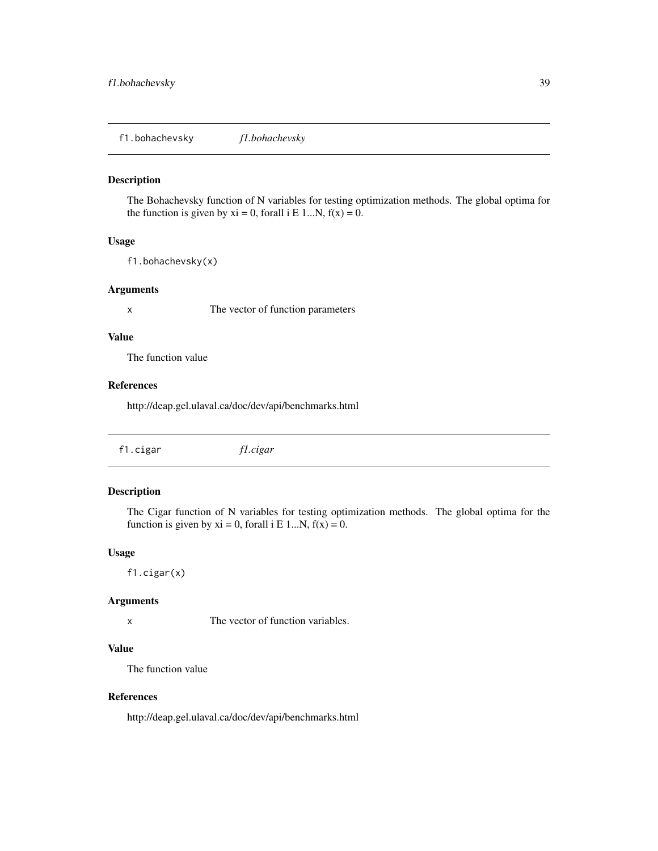f1.bohachevsky *f1.bohachevsky*

#### Description

The Bohachevsky function of N variables for testing optimization methods. The global optima for the function is given by  $xi = 0$ , forall i E 1...N,  $f(x) = 0$ .

## Usage

f1.bohachevsky(x)

#### Arguments

x The vector of function parameters

#### Value

The function value

#### References

http://deap.gel.ulaval.ca/doc/dev/api/benchmarks.html

| f1.cigar | f1.cigar |  |  |
|----------|----------|--|--|
|----------|----------|--|--|

## Description

The Cigar function of N variables for testing optimization methods. The global optima for the function is given by  $xi = 0$ , forall i E 1...N,  $f(x) = 0$ .

#### Usage

f1.cigar(x)

#### Arguments

x The vector of function variables.

#### Value

The function value

## References

http://deap.gel.ulaval.ca/doc/dev/api/benchmarks.html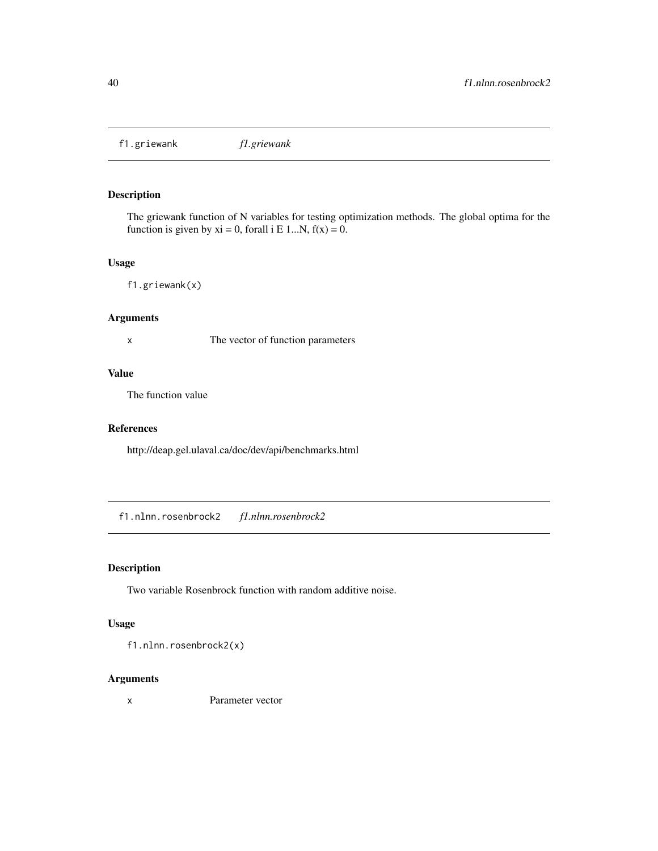f1.griewank *f1.griewank*

# Description

The griewank function of N variables for testing optimization methods. The global optima for the function is given by  $xi = 0$ , forall i E 1...N,  $f(x) = 0$ .

#### Usage

f1.griewank(x)

## Arguments

x The vector of function parameters

#### Value

The function value

#### References

http://deap.gel.ulaval.ca/doc/dev/api/benchmarks.html

f1.nlnn.rosenbrock2 *f1.nlnn.rosenbrock2*

## Description

Two variable Rosenbrock function with random additive noise.

#### Usage

f1.nlnn.rosenbrock2(x)

#### Arguments

x Parameter vector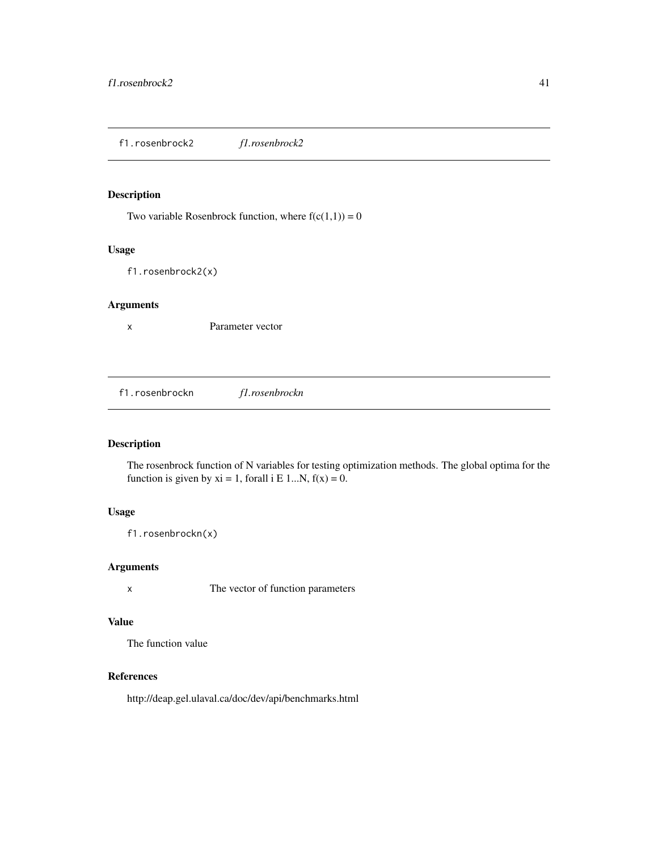f1.rosenbrock2 *f1.rosenbrock2*

# Description

Two variable Rosenbrock function, where  $f(c(1,1)) = 0$ 

#### Usage

f1.rosenbrock2(x)

#### Arguments

x Parameter vector

f1.rosenbrockn *f1.rosenbrockn*

# Description

The rosenbrock function of N variables for testing optimization methods. The global optima for the function is given by  $xi = 1$ , forall i E 1...N,  $f(x) = 0$ .

## Usage

f1.rosenbrockn(x)

## Arguments

x The vector of function parameters

## Value

The function value

#### References

http://deap.gel.ulaval.ca/doc/dev/api/benchmarks.html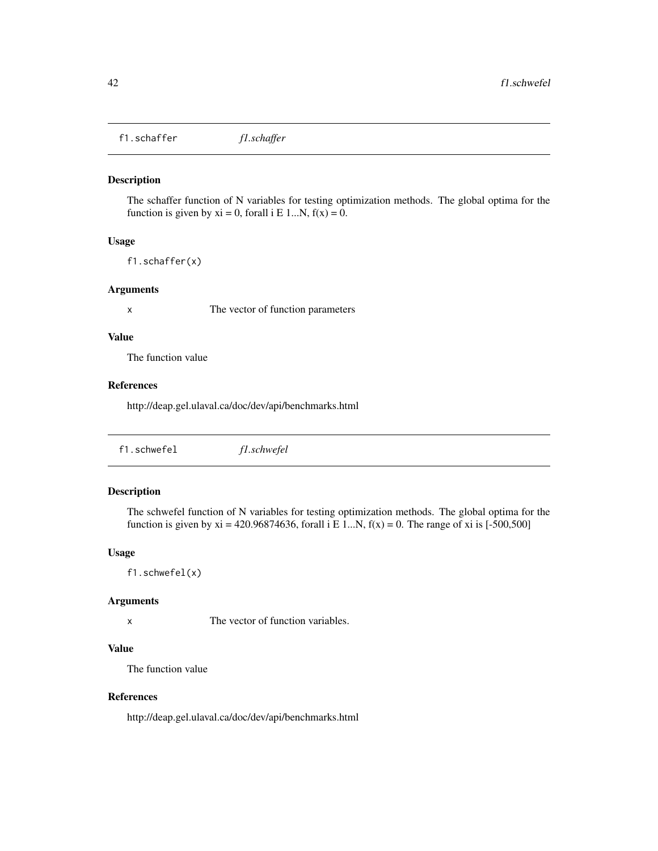f1.schaffer *f1.schaffer*

#### Description

The schaffer function of N variables for testing optimization methods. The global optima for the function is given by  $xi = 0$ , forall i E 1...N,  $f(x) = 0$ .

## Usage

f1.schaffer(x)

#### Arguments

x The vector of function parameters

#### Value

The function value

#### References

http://deap.gel.ulaval.ca/doc/dev/api/benchmarks.html

| f1.schwefel | f1.schwefel |  |
|-------------|-------------|--|
|-------------|-------------|--|

## Description

The schwefel function of N variables for testing optimization methods. The global optima for the function is given by xi = 420.96874636, forall i E 1...N,  $f(x) = 0$ . The range of xi is [-500,500]

#### Usage

f1.schwefel(x)

#### Arguments

x The vector of function variables.

#### Value

The function value

## References

http://deap.gel.ulaval.ca/doc/dev/api/benchmarks.html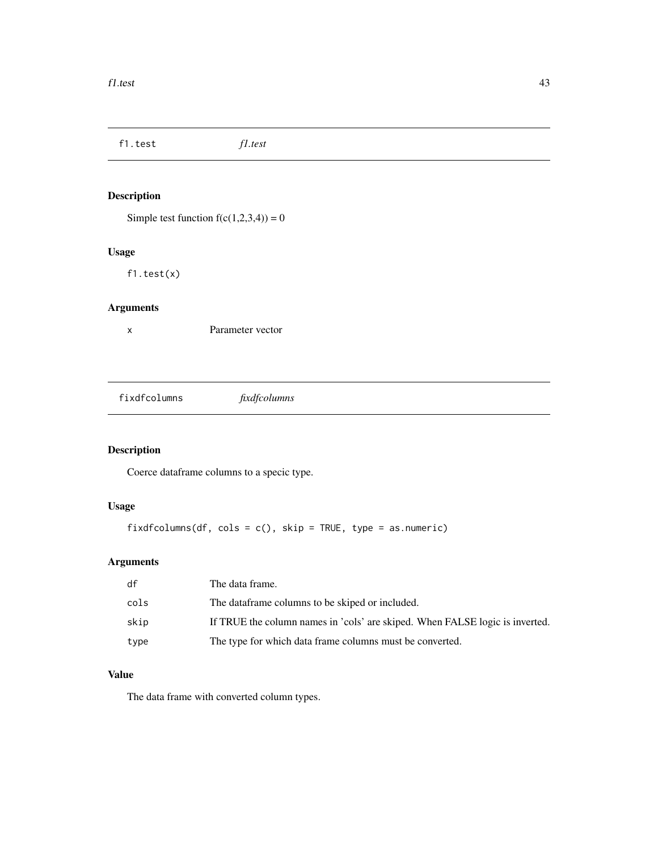f1.test *f1.test* Description Simple test function  $f(c(1,2,3,4)) = 0$ Usage f1.test(x) Arguments x Parameter vector

fixdfcolumns *fixdfcolumns*

# Description

Coerce dataframe columns to a specic type.

## Usage

```
fixdfcolumns(df, cols = c(), skip = TRUE, type = as.numeric)
```
# Arguments

| df   | The data frame.                                                              |
|------|------------------------------------------------------------------------------|
| cols | The dataframe columns to be skiped or included.                              |
| skip | If TRUE the column names in 'cols' are skiped. When FALSE logic is inverted. |
| type | The type for which data frame columns must be converted.                     |

## Value

The data frame with converted column types.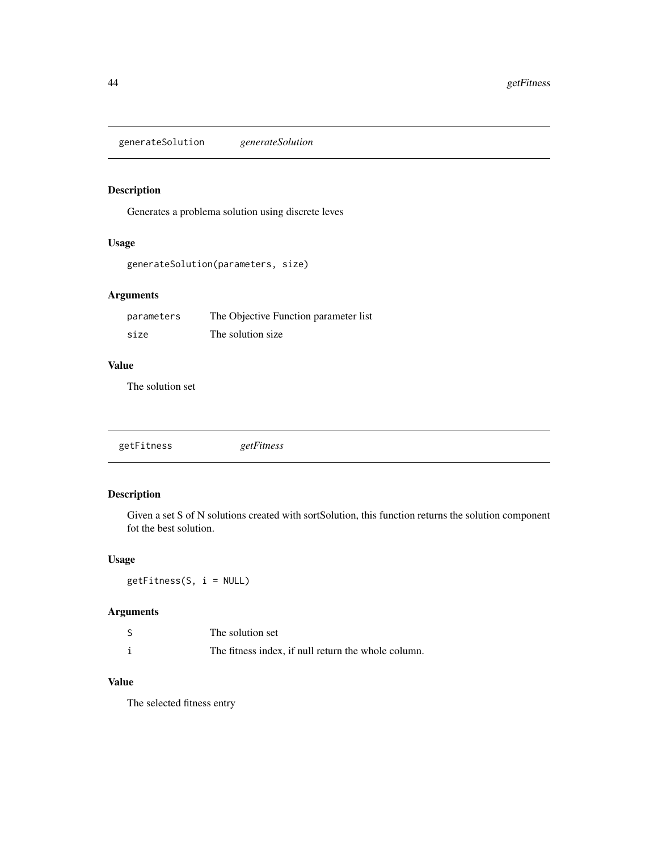generateSolution *generateSolution*

# Description

Generates a problema solution using discrete leves

## Usage

```
generateSolution(parameters, size)
```
## Arguments

| parameters | The Objective Function parameter list |
|------------|---------------------------------------|
| size       | The solution size.                    |

#### Value

The solution set

|--|--|

## Description

Given a set S of N solutions created with sortSolution, this function returns the solution component fot the best solution.

## Usage

getFitness(S, i = NULL)

# Arguments

| The solution set                                    |
|-----------------------------------------------------|
| The fitness index, if null return the whole column. |

# Value

The selected fitness entry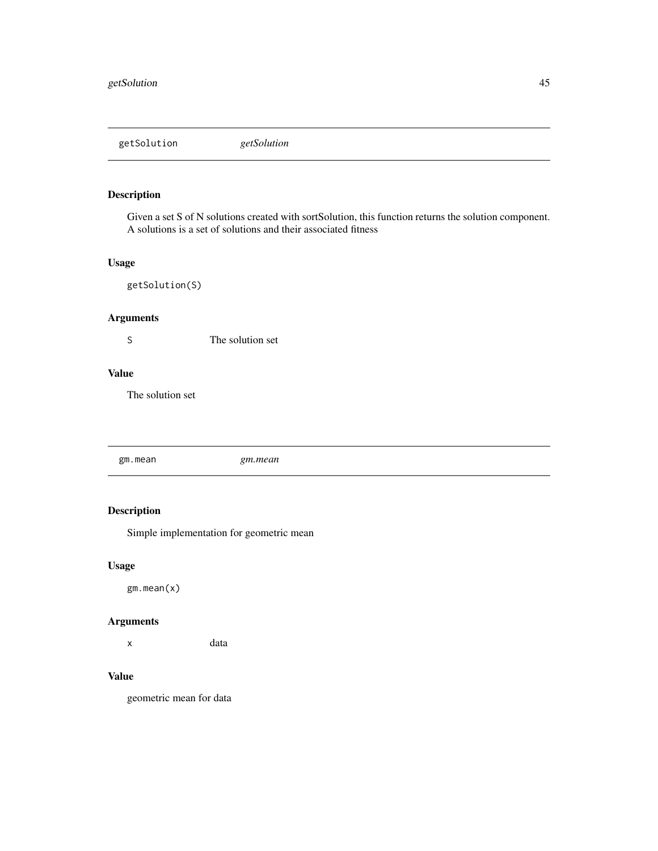getSolution *getSolution*

# Description

Given a set S of N solutions created with sortSolution, this function returns the solution component. A solutions is a set of solutions and their associated fitness

#### Usage

getSolution(S)

## Arguments

S The solution set

#### Value

The solution set

gm.mean *gm.mean*

# Description

Simple implementation for geometric mean

## Usage

gm.mean(x)

#### Arguments

x data

## Value

geometric mean for data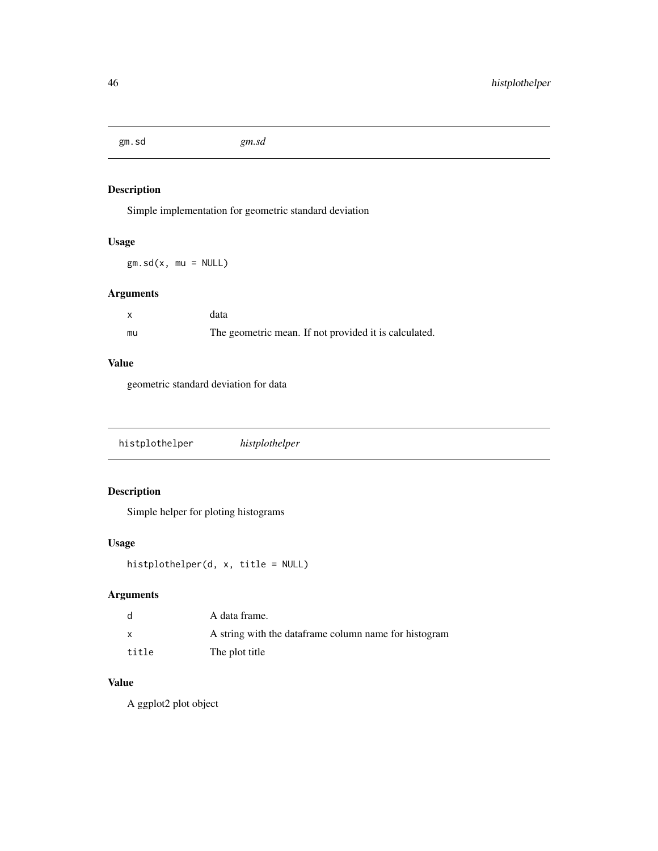gm.sd *gm.sd*

# Description

Simple implementation for geometric standard deviation

## Usage

 $gm.sd(x, mu = NULL)$ 

## Arguments

| $\mathsf{x}$ | data                                                  |
|--------------|-------------------------------------------------------|
| mu           | The geometric mean. If not provided it is calculated. |

#### Value

geometric standard deviation for data

|--|--|

# Description

Simple helper for ploting histograms

## Usage

```
histplothelper(d, x, title = NULL)
```
# Arguments

| d            | A data frame.                                          |
|--------------|--------------------------------------------------------|
| $\mathsf{x}$ | A string with the data frame column name for histogram |
| title        | The plot title                                         |

## Value

A ggplot2 plot object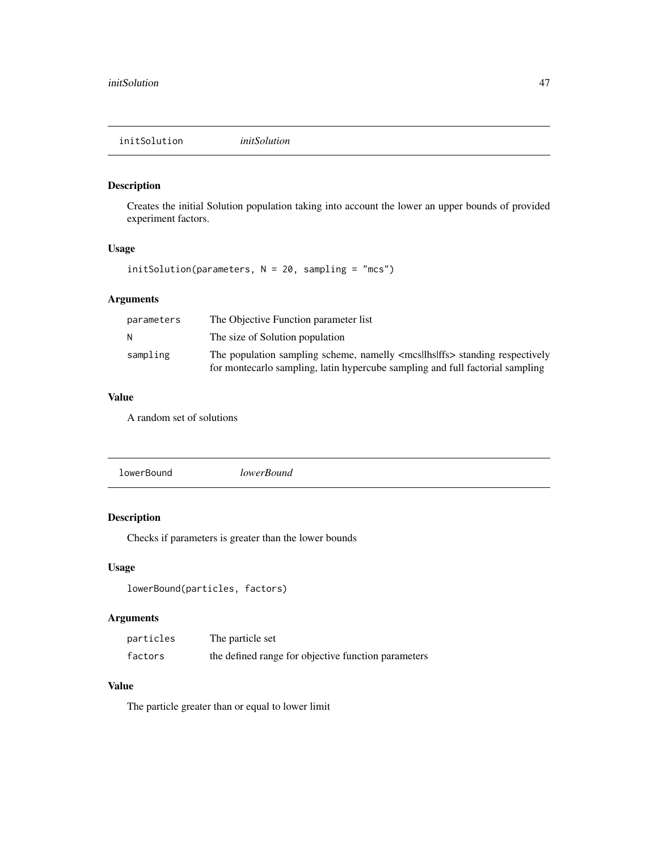## Description

Creates the initial Solution population taking into account the lower an upper bounds of provided experiment factors.

#### Usage

initSolution(parameters, N = 20, sampling = "mcs")

## Arguments

| parameters | The Objective Function parameter list                                                                                                                                       |
|------------|-----------------------------------------------------------------------------------------------------------------------------------------------------------------------------|
| N          | The size of Solution population                                                                                                                                             |
| sampling   | The population sampling scheme, namelly <mcsllhslffs> standing respectively<br/>for montecarlo sampling, latin hypercube sampling and full factorial sampling</mcsllhslffs> |

## Value

A random set of solutions

## Description

Checks if parameters is greater than the lower bounds

## Usage

```
lowerBound(particles, factors)
```
## Arguments

| particles | The particle set                                    |
|-----------|-----------------------------------------------------|
| factors   | the defined range for objective function parameters |

## Value

The particle greater than or equal to lower limit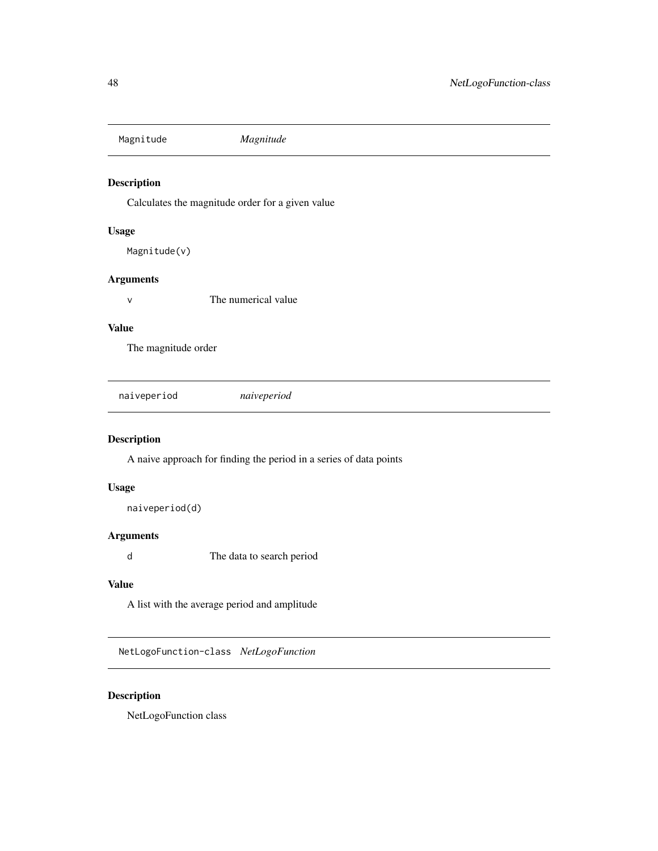Magnitude *Magnitude*

## Description

Calculates the magnitude order for a given value

#### Usage

Magnitude(v)

## Arguments

v The numerical value

## Value

The magnitude order

naiveperiod *naiveperiod*

## Description

A naive approach for finding the period in a series of data points

#### Usage

naiveperiod(d)

#### Arguments

d The data to search period

#### Value

A list with the average period and amplitude

NetLogoFunction-class *NetLogoFunction*

## Description

NetLogoFunction class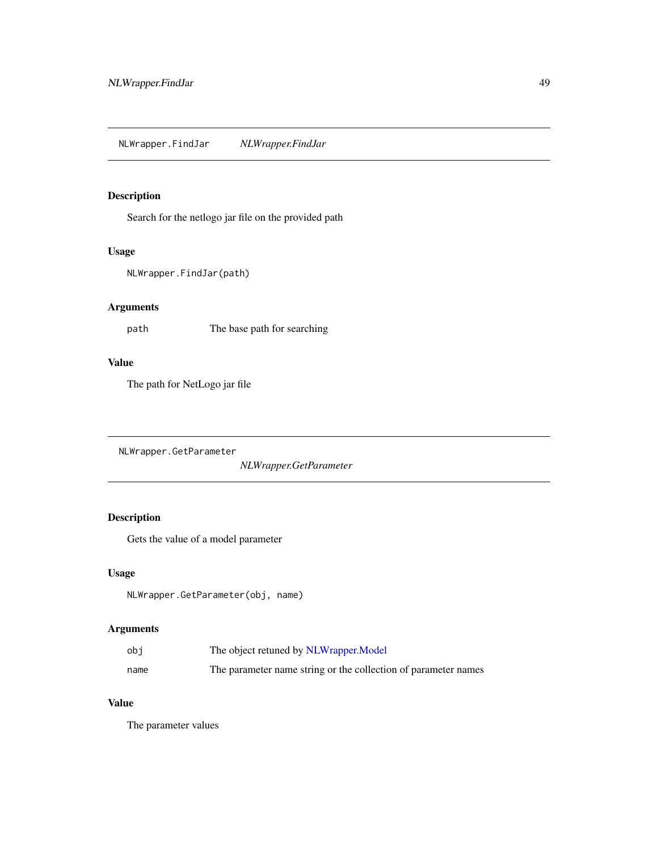## Description

Search for the netlogo jar file on the provided path

#### Usage

```
NLWrapper.FindJar(path)
```
## Arguments

path The base path for searching

## Value

The path for NetLogo jar file

NLWrapper.GetParameter

*NLWrapper.GetParameter*

## Description

Gets the value of a model parameter

## Usage

```
NLWrapper.GetParameter(obj, name)
```
# Arguments

| obi  | The object retuned by NLWrapper. Model                         |
|------|----------------------------------------------------------------|
| name | The parameter name string or the collection of parameter names |

# Value

The parameter values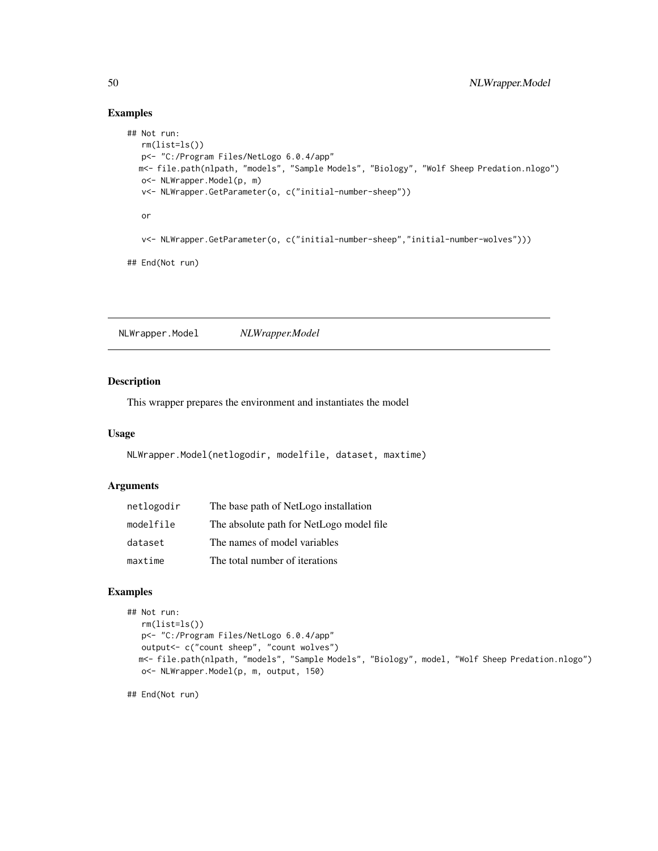## Examples

```
## Not run:
  rm(list=ls())
  p<- "C:/Program Files/NetLogo 6.0.4/app"
  m<- file.path(nlpath, "models", "Sample Models", "Biology", "Wolf Sheep Predation.nlogo")
  o<- NLWrapper.Model(p, m)
  v<- NLWrapper.GetParameter(o, c("initial-number-sheep"))
  or
  v<- NLWrapper.GetParameter(o, c("initial-number-sheep","initial-number-wolves")))
## End(Not run)
```
<span id="page-49-0"></span>NLWrapper.Model *NLWrapper.Model*

#### Description

This wrapper prepares the environment and instantiates the model

#### Usage

```
NLWrapper.Model(netlogodir, modelfile, dataset, maxtime)
```
#### Arguments

| netlogodir | The base path of NetLogo installation    |
|------------|------------------------------------------|
| modelfile  | The absolute path for NetLogo model file |
| dataset    | The names of model variables             |
| maxtime    | The total number of iterations           |

## Examples

```
## Not run:
  rm(list=ls())
  p<- "C:/Program Files/NetLogo 6.0.4/app"
  output<- c("count sheep", "count wolves")
  m<- file.path(nlpath, "models", "Sample Models", "Biology", model, "Wolf Sheep Predation.nlogo")
  o<- NLWrapper.Model(p, m, output, 150)
```
## End(Not run)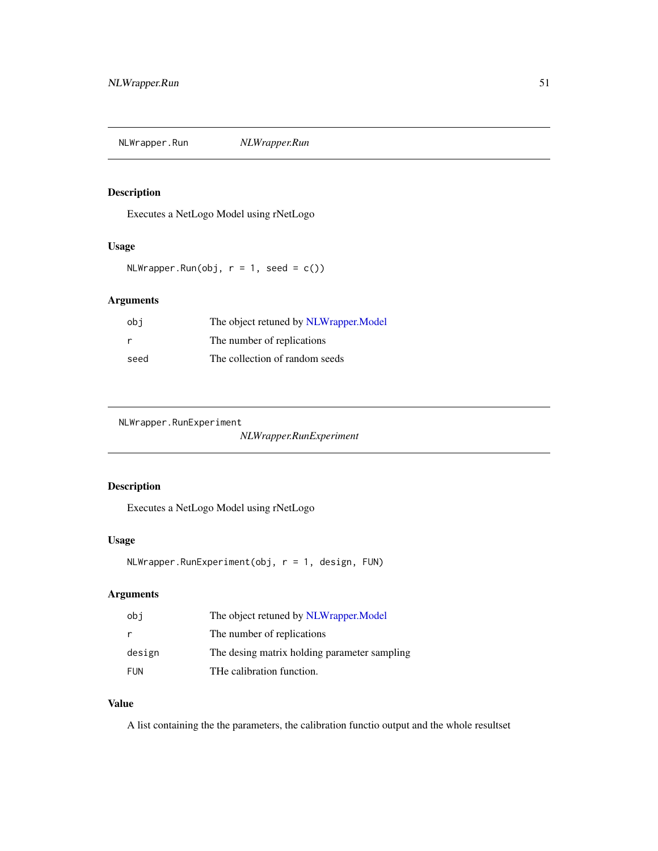NLWrapper.Run *NLWrapper.Run*

## Description

Executes a NetLogo Model using rNetLogo

#### Usage

 $NLWrapper.Run(obj, r = 1, seed = c())$ 

## Arguments

| obi  | The object retuned by NLWrapper. Model |
|------|----------------------------------------|
| r    | The number of replications             |
| seed | The collection of random seeds         |

NLWrapper.RunExperiment

*NLWrapper.RunExperiment*

# Description

Executes a NetLogo Model using rNetLogo

#### Usage

NLWrapper.RunExperiment(obj, r = 1, design, FUN)

## Arguments

| obi        | The object retuned by NLWrapper. Model       |
|------------|----------------------------------------------|
| r          | The number of replications                   |
| design     | The desing matrix holding parameter sampling |
| <b>FUN</b> | THe calibration function.                    |

#### Value

A list containing the the parameters, the calibration functio output and the whole resultset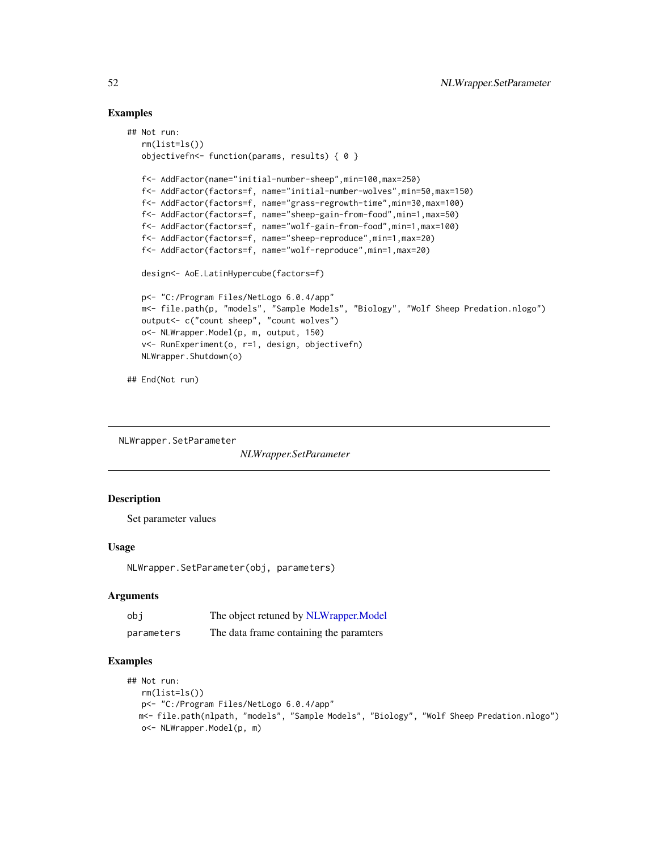#### Examples

```
## Not run:
  rm(list=ls())
  objectivefn<- function(params, results) { 0 }
  f<- AddFactor(name="initial-number-sheep",min=100,max=250)
  f<- AddFactor(factors=f, name="initial-number-wolves",min=50,max=150)
  f<- AddFactor(factors=f, name="grass-regrowth-time",min=30,max=100)
  f<- AddFactor(factors=f, name="sheep-gain-from-food",min=1,max=50)
   f<- AddFactor(factors=f, name="wolf-gain-from-food",min=1,max=100)
   f<- AddFactor(factors=f, name="sheep-reproduce",min=1,max=20)
   f<- AddFactor(factors=f, name="wolf-reproduce",min=1,max=20)
  design<- AoE.LatinHypercube(factors=f)
  p<- "C:/Program Files/NetLogo 6.0.4/app"
  m<- file.path(p, "models", "Sample Models", "Biology", "Wolf Sheep Predation.nlogo")
  output<- c("count sheep", "count wolves")
  o<- NLWrapper.Model(p, m, output, 150)
  v<- RunExperiment(o, r=1, design, objectivefn)
  NLWrapper.Shutdown(o)
## End(Not run)
```
NLWrapper.SetParameter

*NLWrapper.SetParameter*

#### **Description**

Set parameter values

#### Usage

NLWrapper.SetParameter(obj, parameters)

## **Arguments**

| obi        | The object retuned by NLWrapper.Model   |
|------------|-----------------------------------------|
| parameters | The data frame containing the paramters |

## Examples

```
## Not run:
  rm(list=ls())
  p<- "C:/Program Files/NetLogo 6.0.4/app"
  m<- file.path(nlpath, "models", "Sample Models", "Biology", "Wolf Sheep Predation.nlogo")
  o<- NLWrapper.Model(p, m)
```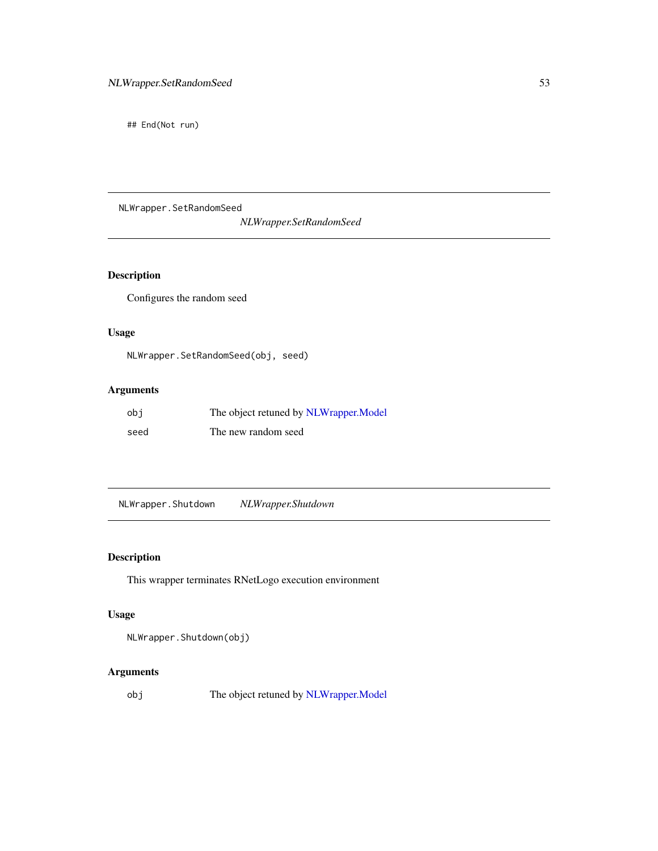## End(Not run)

NLWrapper.SetRandomSeed *NLWrapper.SetRandomSeed*

## Description

Configures the random seed

## Usage

NLWrapper.SetRandomSeed(obj, seed)

# Arguments

| obi  | The object retuned by NLWrapper. Model |
|------|----------------------------------------|
| seed | The new random seed                    |

NLWrapper.Shutdown *NLWrapper.Shutdown*

## Description

This wrapper terminates RNetLogo execution environment

# Usage

NLWrapper.Shutdown(obj)

## Arguments

obj The object retuned by [NLWrapper.Model](#page-49-0)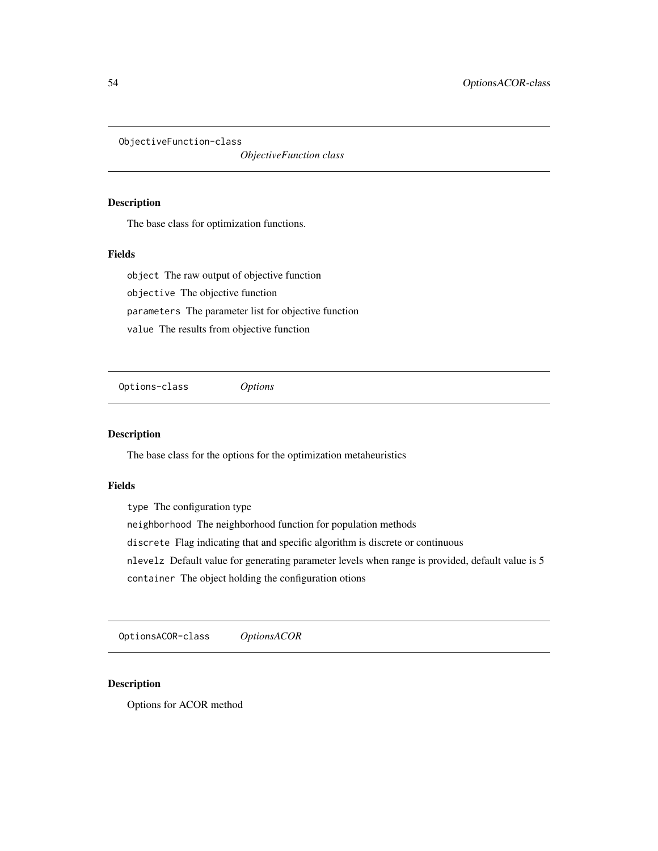ObjectiveFunction-class

*ObjectiveFunction class*

## <span id="page-53-0"></span>Description

The base class for optimization functions.

## Fields

object The raw output of objective function objective The objective function parameters The parameter list for objective function value The results from objective function

Options-class *Options*

#### Description

The base class for the options for the optimization metaheuristics

#### Fields

type The configuration type neighborhood The neighborhood function for population methods discrete Flag indicating that and specific algorithm is discrete or continuous nlevelz Default value for generating parameter levels when range is provided, default value is 5 container The object holding the configuration otions

OptionsACOR-class *OptionsACOR*

#### Description

Options for ACOR method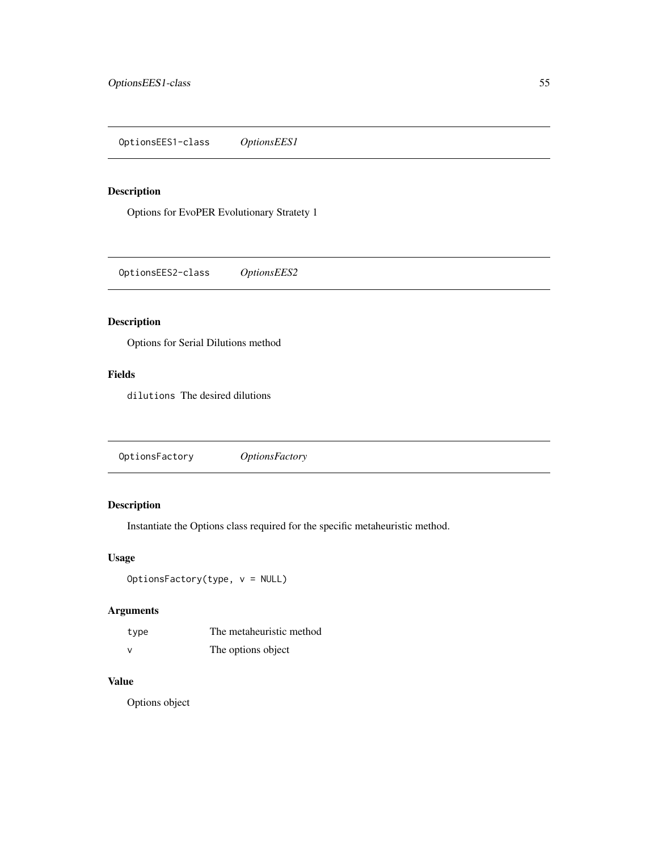OptionsEES1-class *OptionsEES1*

# Description

Options for EvoPER Evolutionary Stratety 1

OptionsEES2-class *OptionsEES2*

# Description

Options for Serial Dilutions method

## Fields

dilutions The desired dilutions

OptionsFactory *OptionsFactory*

## Description

Instantiate the Options class required for the specific metaheuristic method.

#### Usage

OptionsFactory(type, v = NULL)

# Arguments

| type          | The metaheuristic method |
|---------------|--------------------------|
| $\mathcal{N}$ | The options object       |

### Value

Options object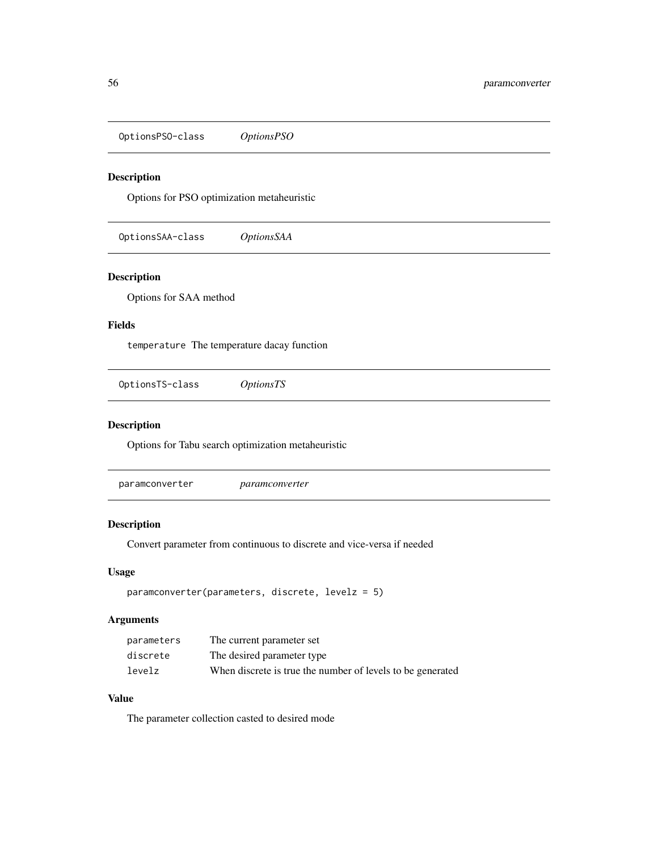OptionsPSO-class *OptionsPSO*

# Description

Options for PSO optimization metaheuristic

OptionsSAA-class *OptionsSAA*

## Description

Options for SAA method

## Fields

temperature The temperature dacay function

OptionsTS-class *OptionsTS*

## Description

Options for Tabu search optimization metaheuristic

paramconverter *paramconverter*

#### Description

Convert parameter from continuous to discrete and vice-versa if needed

#### Usage

```
paramconverter(parameters, discrete, levelz = 5)
```
# Arguments

| parameters | The current parameter set                                  |
|------------|------------------------------------------------------------|
| discrete   | The desired parameter type                                 |
| levelz     | When discrete is true the number of levels to be generated |

## Value

The parameter collection casted to desired mode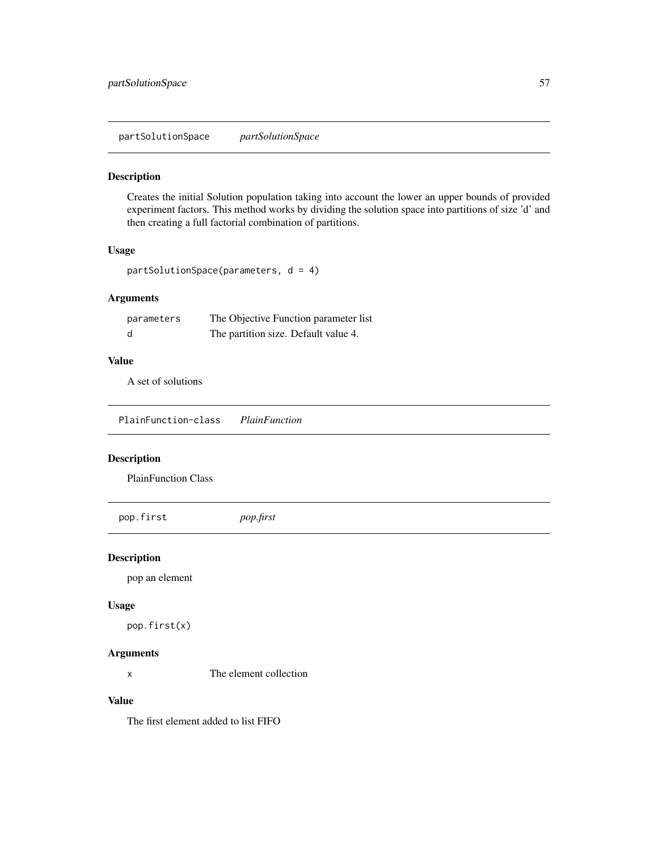partSolutionSpace *partSolutionSpace*

# Description

Creates the initial Solution population taking into account the lower an upper bounds of provided experiment factors. This method works by dividing the solution space into partitions of size 'd' and then creating a full factorial combination of partitions.

#### Usage

```
partSolutionSpace(parameters, d = 4)
```
## Arguments

| parameters | The Objective Function parameter list |
|------------|---------------------------------------|
| d          | The partition size. Default value 4.  |

## Value

A set of solutions

PlainFunction-class *PlainFunction*

#### Description

PlainFunction Class

pop.first *pop.first*

#### Description

pop an element

#### Usage

pop.first(x)

#### Arguments

x The element collection

#### Value

The first element added to list FIFO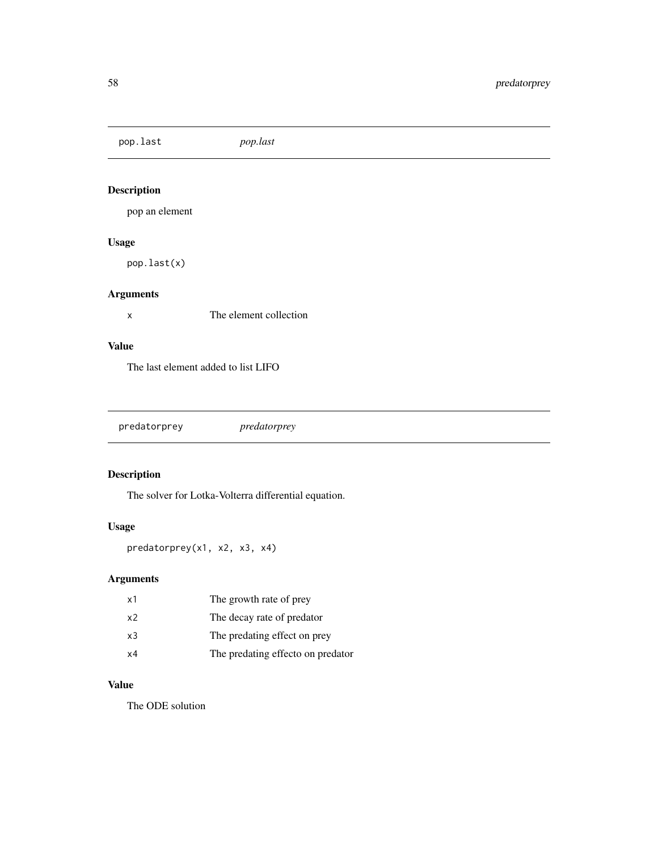pop.last *pop.last*

# Description

pop an element

# Usage

pop.last(x)

## Arguments

x The element collection

#### Value

The last element added to list LIFO

predatorprey *predatorprey*

# Description

The solver for Lotka-Volterra differential equation.

# Usage

predatorprey(x1, x2, x3, x4)

# Arguments

| x1 | The growth rate of prey           |
|----|-----------------------------------|
| x2 | The decay rate of predator        |
| x3 | The predating effect on prey      |
| х4 | The predating effecto on predator |

#### Value

The ODE solution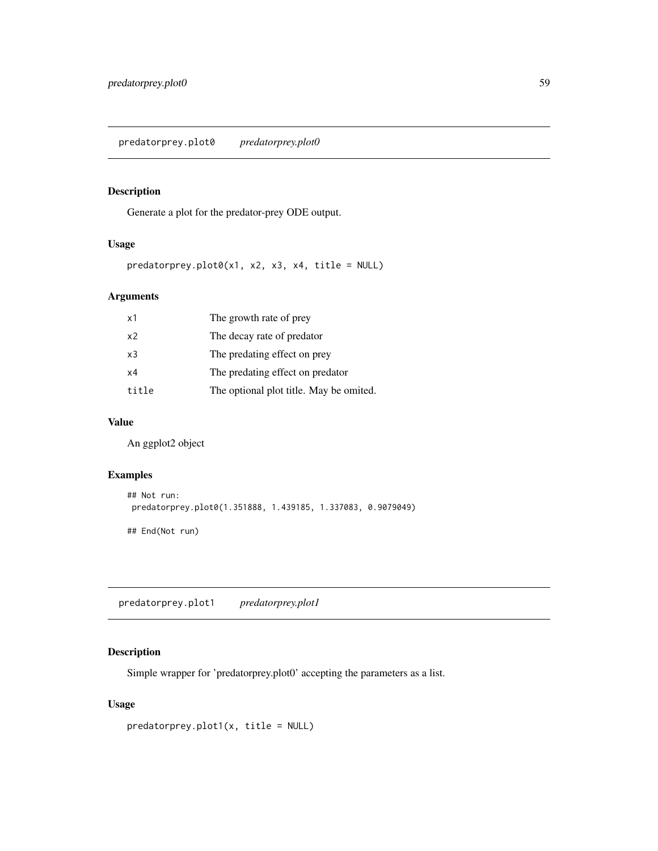predatorprey.plot0 *predatorprey.plot0*

## Description

Generate a plot for the predator-prey ODE output.

## Usage

 $predatory.plot0(x1, x2, x3, x4, title = NULL)$ 

# Arguments

| x1             | The growth rate of prey                 |
|----------------|-----------------------------------------|
| x <sub>2</sub> | The decay rate of predator              |
| x3             | The predating effect on prey            |
| x4             | The predating effect on predator        |
| title          | The optional plot title. May be omited. |

#### Value

An ggplot2 object

## Examples

```
## Not run:
predatorprey.plot0(1.351888, 1.439185, 1.337083, 0.9079049)
## End(Not run)
```
predatorprey.plot1 *predatorprey.plot1*

## Description

Simple wrapper for 'predatorprey.plot0' accepting the parameters as a list.

#### Usage

```
predatorprey.plot1(x, title = NULL)
```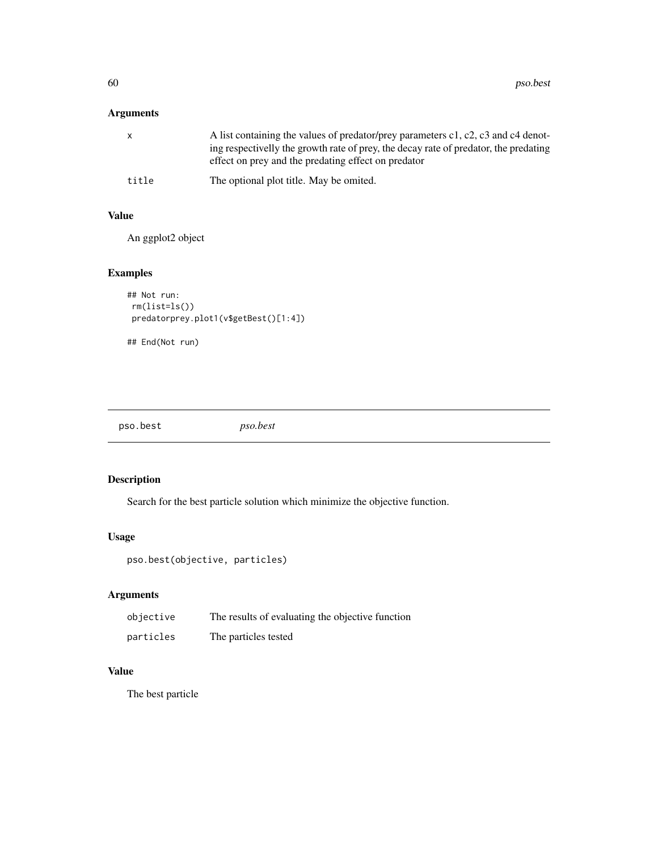## Arguments

| X     | A list containing the values of predator/prey parameters c1, c2, c3 and c4 denot-<br>ing respectivelly the growth rate of prey, the decay rate of predator, the predating<br>effect on prey and the predating effect on predator |
|-------|----------------------------------------------------------------------------------------------------------------------------------------------------------------------------------------------------------------------------------|
| title | The optional plot title. May be omited.                                                                                                                                                                                          |

#### Value

An ggplot2 object

# Examples

```
## Not run:
rm(list=ls())
predatorprey.plot1(v$getBest()[1:4])
```
## End(Not run)

pso.best *pso.best*

# Description

Search for the best particle solution which minimize the objective function.

## Usage

```
pso.best(objective, particles)
```
## Arguments

| objective | The results of evaluating the objective function |
|-----------|--------------------------------------------------|
| particles | The particles tested                             |

## Value

The best particle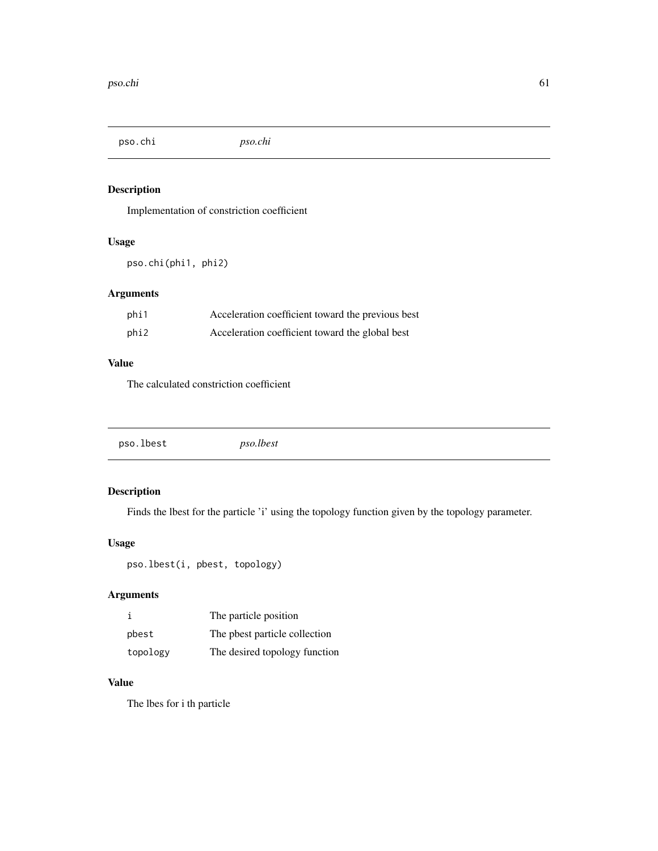pso.chi *pso.chi*

# Description

Implementation of constriction coefficient

## Usage

pso.chi(phi1, phi2)

## Arguments

| phi1 | Acceleration coefficient toward the previous best |
|------|---------------------------------------------------|
| phi2 | Acceleration coefficient toward the global best   |

#### Value

The calculated constriction coefficient

| pso.lbest<br><i>pso.lbest</i> |
|-------------------------------|
|-------------------------------|

# Description

Finds the lbest for the particle 'i' using the topology function given by the topology parameter.

## Usage

```
pso.lbest(i, pbest, topology)
```
## Arguments

|          | The particle position         |
|----------|-------------------------------|
| pbest    | The pbest particle collection |
| topology | The desired topology function |

#### Value

The lbes for i th particle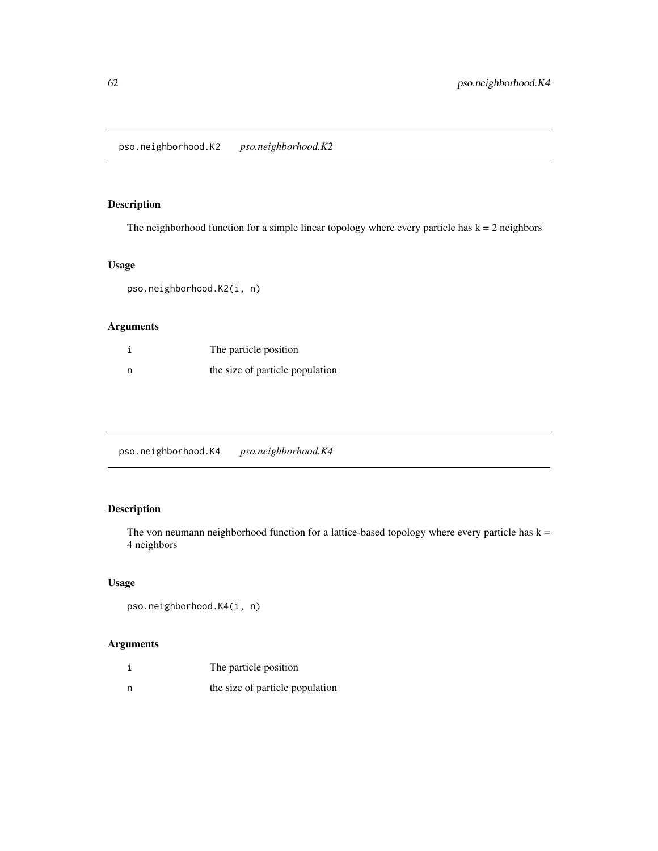pso.neighborhood.K2 *pso.neighborhood.K2*

## Description

The neighborhood function for a simple linear topology where every particle has  $k = 2$  neighbors

# Usage

pso.neighborhood.K2(i, n)

## Arguments

| The particle position           |
|---------------------------------|
| the size of particle population |

pso.neighborhood.K4 *pso.neighborhood.K4*

# Description

The von neumann neighborhood function for a lattice-based topology where every particle has  $k =$ 4 neighbors

## Usage

```
pso.neighborhood.K4(i, n)
```
## Arguments

| The particle position           |
|---------------------------------|
| the size of particle population |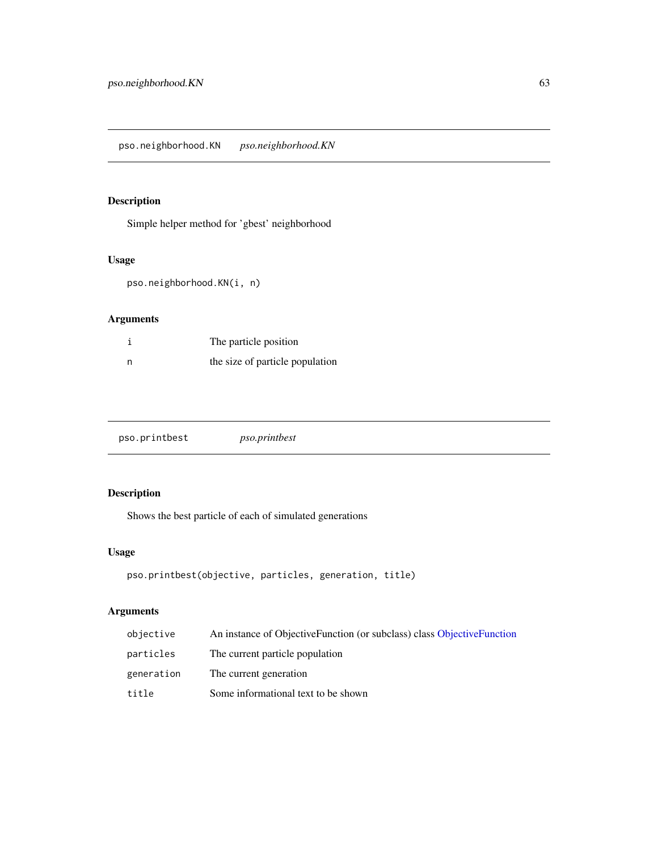## Description

Simple helper method for 'gbest' neighborhood

# Usage

pso.neighborhood.KN(i, n)

# Arguments

|   | The particle position           |
|---|---------------------------------|
| n | the size of particle population |

| pso.printbest | <i>pso.printbest</i> |
|---------------|----------------------|
|---------------|----------------------|

# Description

Shows the best particle of each of simulated generations

## Usage

```
pso.printbest(objective, particles, generation, title)
```
# Arguments

| objective  | An instance of ObjectiveFunction (or subclass) class ObjectiveFunction |
|------------|------------------------------------------------------------------------|
| particles  | The current particle population                                        |
| generation | The current generation                                                 |
| title      | Some informational text to be shown                                    |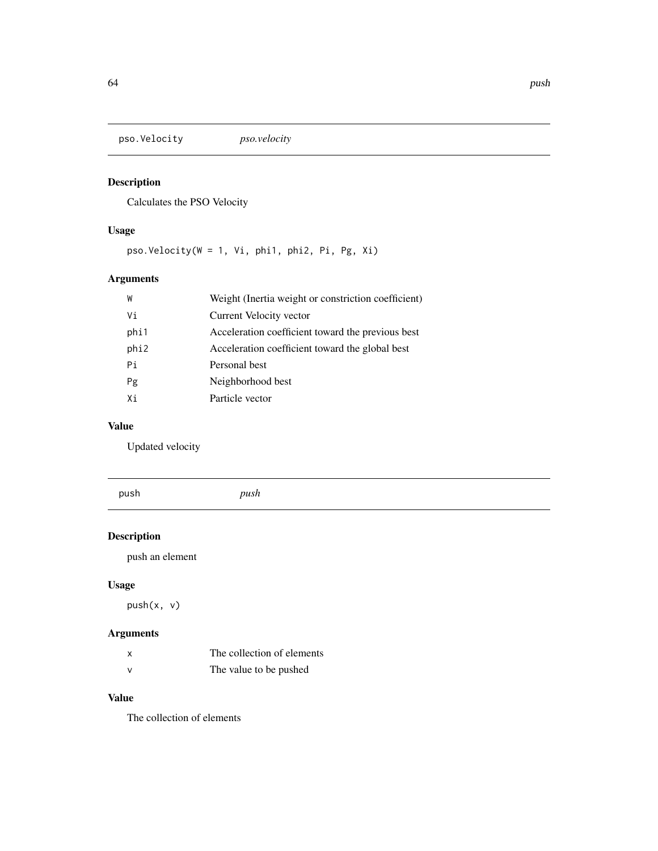pso.Velocity *pso.velocity*

# Description

Calculates the PSO Velocity

# Usage

pso.Velocity(W = 1, Vi, phi1, phi2, Pi, Pg, Xi)

# Arguments

| W    | Weight (Inertia weight or constriction coefficient) |
|------|-----------------------------------------------------|
| Vi   | Current Velocity vector                             |
| phi1 | Acceleration coefficient toward the previous best   |
| phi2 | Acceleration coefficient toward the global best     |
| Pi   | Personal best                                       |
| Pg   | Neighborhood best                                   |
| Xi   | Particle vector                                     |

## Value

Updated velocity

push *push*

# Description

push an element

# Usage

push(x, v)

# Arguments

| X            | The collection of elements |
|--------------|----------------------------|
| $\mathbf{v}$ | The value to be pushed     |

# Value

The collection of elements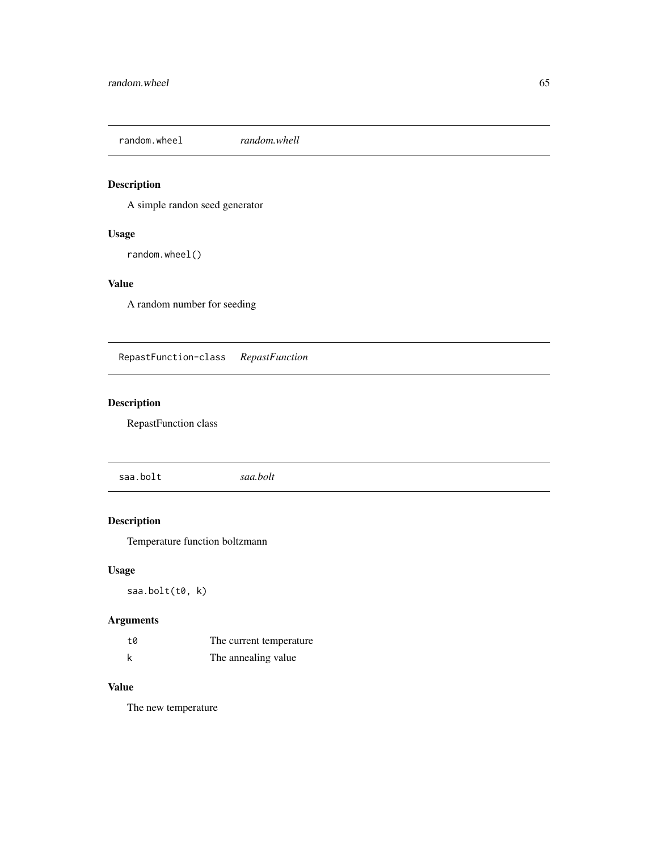random.wheel *random.whell*

# Description

A simple randon seed generator

## Usage

random.wheel()

## Value

A random number for seeding

RepastFunction-class *RepastFunction*

# Description

RepastFunction class

saa.bolt *saa.bolt*

# Description

Temperature function boltzmann

## Usage

saa.bolt(t0, k)

# Arguments

| t0 | The current temperature |  |
|----|-------------------------|--|
| k  | The annealing value     |  |

## Value

The new temperature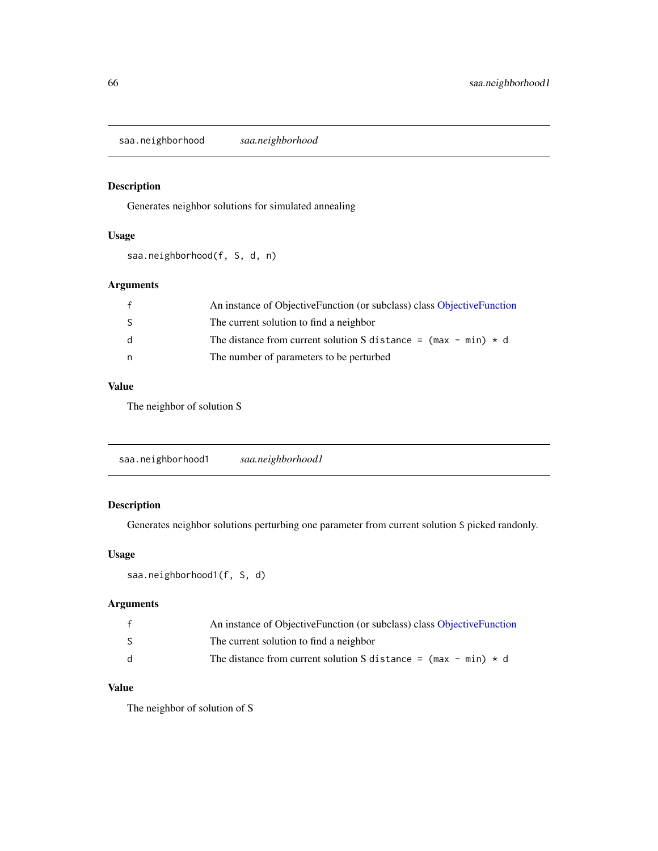saa.neighborhood *saa.neighborhood*

## Description

Generates neighbor solutions for simulated annealing

## Usage

saa.neighborhood(f, S, d, n)

## Arguments

|     | An instance of ObjectiveFunction (or subclass) class ObjectiveFunction |
|-----|------------------------------------------------------------------------|
| -S  | The current solution to find a neighbor                                |
| - q | The distance from current solution S distance = $(max - min) * d$      |
| n.  | The number of parameters to be perturbed                               |
|     |                                                                        |

#### Value

The neighbor of solution S

| saa.neighborhood1 |
|-------------------|
|-------------------|

## Description

Generates neighbor solutions perturbing one parameter from current solution S picked randonly.

## Usage

```
saa.neighborhood1(f, S, d)
```
## Arguments

|              | An instance of ObjectiveFunction (or subclass) class ObjectiveFunction |
|--------------|------------------------------------------------------------------------|
| S.           | The current solution to find a neighbor                                |
| <sub>d</sub> | The distance from current solution S distance = $(max - min) * d$      |

## Value

The neighbor of solution of S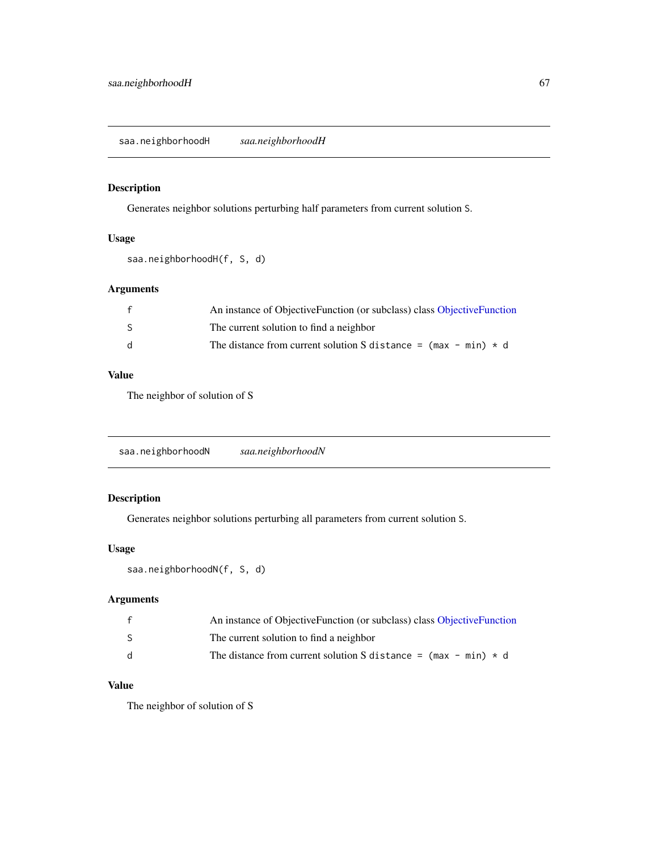## Description

Generates neighbor solutions perturbing half parameters from current solution S.

## Usage

```
saa.neighborhoodH(f, S, d)
```
## Arguments

|     | An instance of ObjectiveFunction (or subclass) class ObjectiveFunction |
|-----|------------------------------------------------------------------------|
| -S  | The current solution to find a neighbor                                |
| - d | The distance from current solution S distance = $(max - min) * d$      |

#### Value

The neighbor of solution of S

saa.neighborhoodN *saa.neighborhoodN*

## Description

Generates neighbor solutions perturbing all parameters from current solution S.

## Usage

saa.neighborhoodN(f, S, d)

## Arguments

|    | An instance of ObjectiveFunction (or subclass) class ObjectiveFunction |
|----|------------------------------------------------------------------------|
|    | The current solution to find a neighbor                                |
| q. | The distance from current solution S distance = $(max - min) * d$      |

# Value

The neighbor of solution of S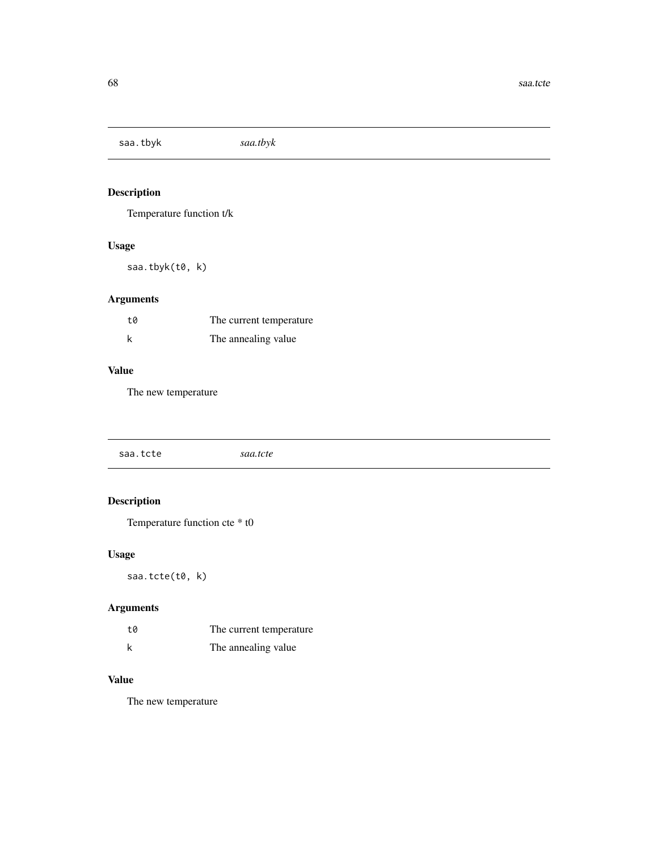saa.tbyk *saa.tbyk*

# Description

Temperature function t/k

# Usage

saa.tbyk(t0, k)

# Arguments

| t0 | The current temperature |  |
|----|-------------------------|--|
| k  | The annealing value.    |  |

## Value

The new temperature

| saa.tcte | saa.tcte |  |
|----------|----------|--|
|          |          |  |

# Description

Temperature function cte \* t0

# Usage

saa.tcte(t0, k)

# Arguments

| t0 | The current temperature |
|----|-------------------------|
| k  | The annealing value     |

# Value

The new temperature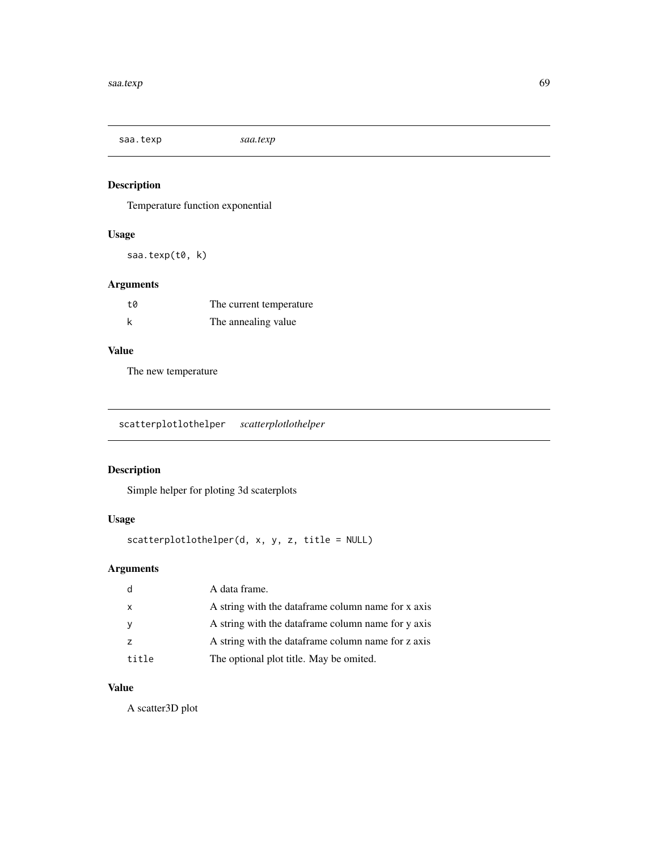saa.texp *saa.texp*

## Description

Temperature function exponential

## Usage

saa.texp(t0, k)

# Arguments

| t0 | The current temperature. |
|----|--------------------------|
| k  | The annealing value      |

# Value

The new temperature

scatterplotlothelper *scatterplotlothelper*

# Description

Simple helper for ploting 3d scaterplots

## Usage

scatterplotlothelper(d, x, y, z, title = NULL)

# Arguments

|              | A data frame.                                       |
|--------------|-----------------------------------------------------|
| $\mathsf{x}$ | A string with the data frame column name for x axis |
|              | A string with the data frame column name for y axis |
|              | A string with the dataframe column name for z axis  |
| title        | The optional plot title. May be omited.             |

## Value

A scatter3D plot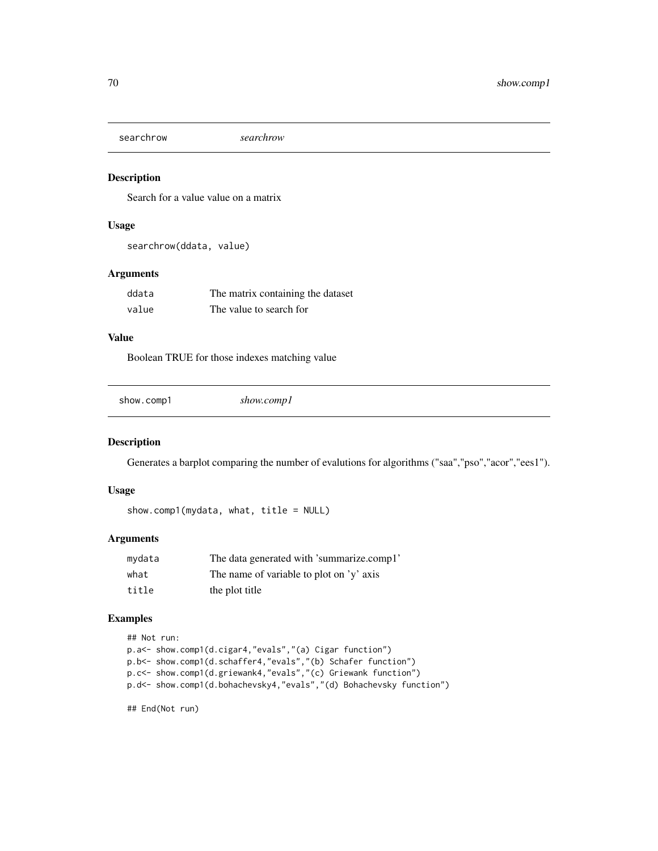searchrow *searchrow*

## Description

Search for a value value on a matrix

## Usage

```
searchrow(ddata, value)
```
#### Arguments

| ddata | The matrix containing the dataset |
|-------|-----------------------------------|
| value | The value to search for           |

## Value

Boolean TRUE for those indexes matching value

show.comp1 *show.comp1*

## Description

Generates a barplot comparing the number of evalutions for algorithms ("saa","pso","acor","ees1").

#### Usage

```
show.comp1(mydata, what, title = NULL)
```
## Arguments

| mydata | The data generated with 'summarize.comp1' |
|--------|-------------------------------------------|
| what   | The name of variable to plot on 'y' axis  |
| title  | the plot title                            |

#### Examples

```
## Not run:
```

```
p.a<- show.comp1(d.cigar4,"evals","(a) Cigar function")
p.b<- show.comp1(d.schaffer4,"evals","(b) Schafer function")
p.c<- show.comp1(d.griewank4,"evals","(c) Griewank function")
p.d<- show.comp1(d.bohachevsky4,"evals","(d) Bohachevsky function")
```
## End(Not run)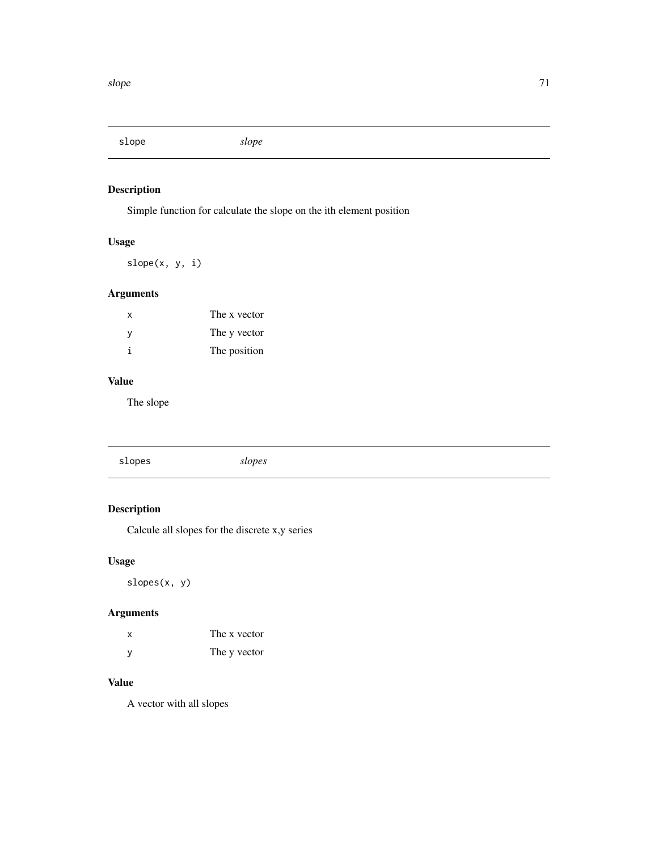slope *slope*

# Description

Simple function for calculate the slope on the ith element position

# Usage

slope(x, y, i)

## Arguments

| x            | The x vector |
|--------------|--------------|
| <sub>V</sub> | The y vector |
| i            | The position |

## Value

The slope

|--|

# Description

Calcule all slopes for the discrete x,y series

# Usage

slopes(x, y)

# Arguments

| x   | The x vector |
|-----|--------------|
| - y | The y vector |

## Value

A vector with all slopes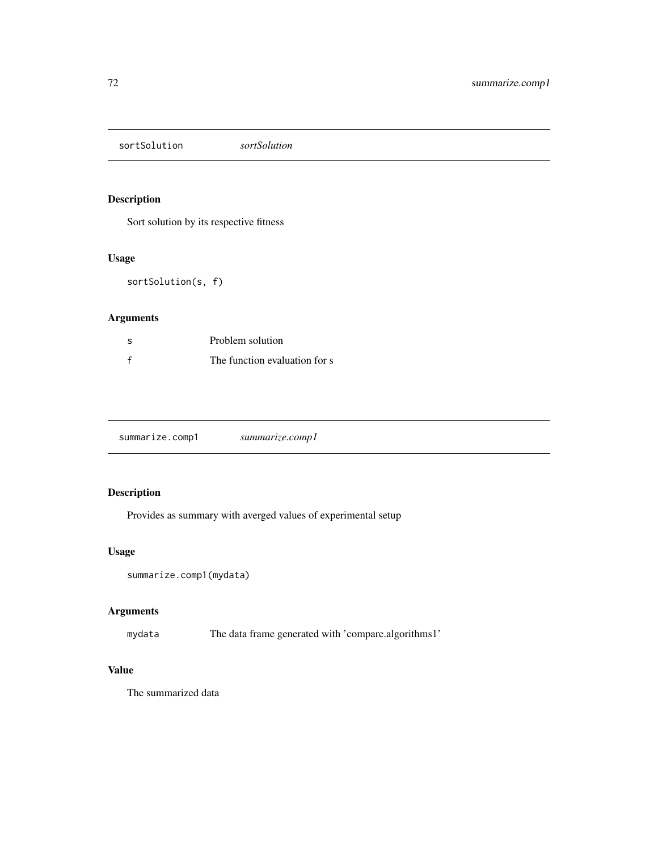sortSolution *sortSolution*

## Description

Sort solution by its respective fitness

## Usage

sortSolution(s, f)

## Arguments

| -S | Problem solution              |
|----|-------------------------------|
|    | The function evaluation for s |

|--|

# Description

Provides as summary with averged values of experimental setup

# Usage

```
summarize.comp1(mydata)
```
# Arguments

mydata The data frame generated with 'compare.algorithms1'

# Value

The summarized data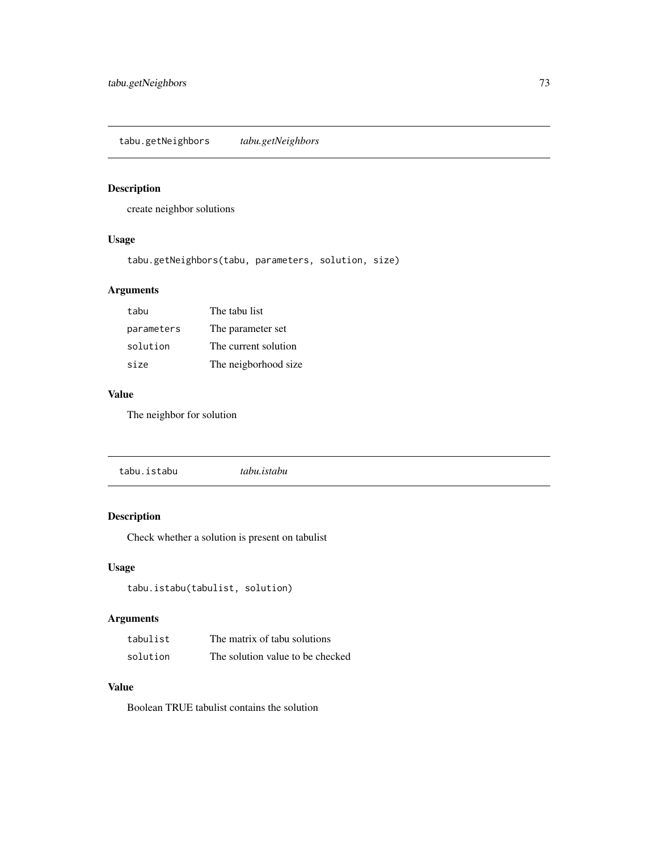<span id="page-72-0"></span>tabu.getNeighbors *tabu.getNeighbors*

# Description

create neighbor solutions

# Usage

tabu.getNeighbors(tabu, parameters, solution, size)

# Arguments

| tabu       | The tabu list        |
|------------|----------------------|
| parameters | The parameter set    |
| solution   | The current solution |
| size       | The neigborhood size |

# Value

The neighbor for solution

|--|

# Description

Check whether a solution is present on tabulist

# Usage

tabu.istabu(tabulist, solution)

# Arguments

| tabulist | The matrix of tabu solutions     |
|----------|----------------------------------|
| solution | The solution value to be checked |

# Value

Boolean TRUE tabulist contains the solution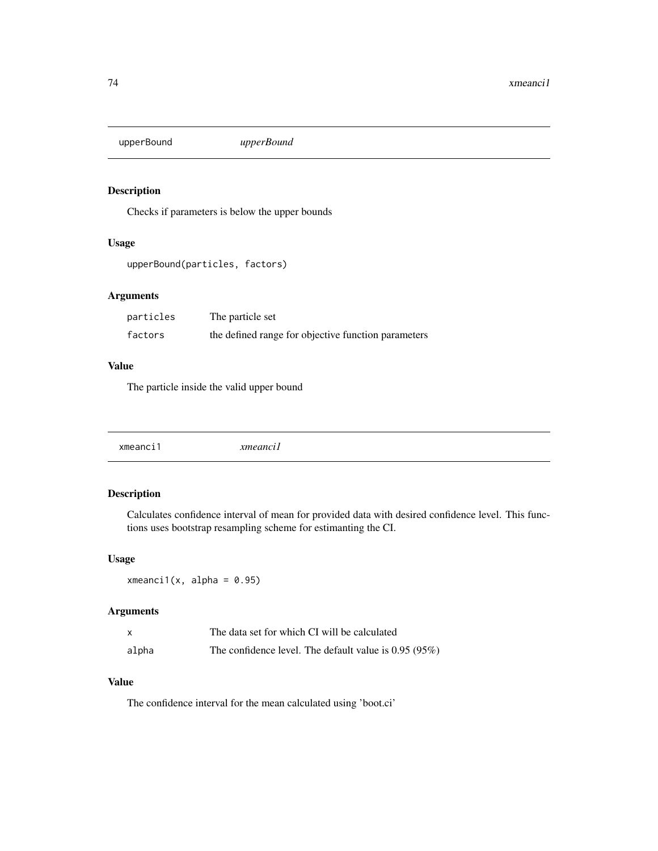<span id="page-73-0"></span>upperBound *upperBound*

# Description

Checks if parameters is below the upper bounds

### Usage

```
upperBound(particles, factors)
```
# Arguments

| particles | The particle set                                    |
|-----------|-----------------------------------------------------|
| factors   | the defined range for objective function parameters |

# Value

The particle inside the valid upper bound

# Description

Calculates confidence interval of mean for provided data with desired confidence level. This functions uses bootstrap resampling scheme for estimanting the CI.

#### Usage

 $xmeanci1(x, alpha = 0.95)$ 

#### Arguments

| $\boldsymbol{\mathsf{x}}$ | The data set for which CI will be calculated           |
|---------------------------|--------------------------------------------------------|
| alpha                     | The confidence level. The default value is $0.95(95%)$ |

# Value

The confidence interval for the mean calculated using 'boot.ci'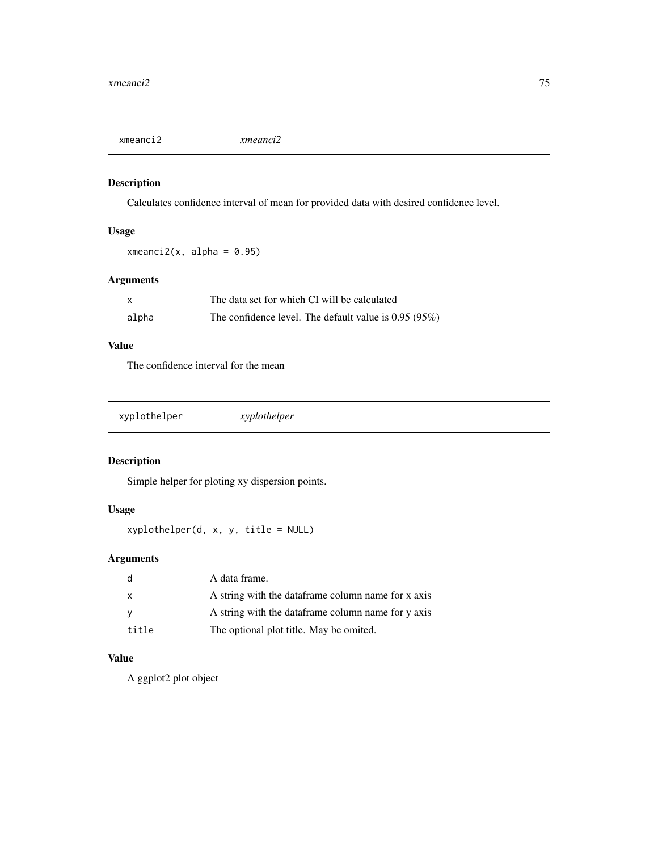<span id="page-74-0"></span>xmeanci2 *xmeanci2*

# Description

Calculates confidence interval of mean for provided data with desired confidence level.

# Usage

 $xmeanci2(x, alpha = 0.95)$ 

# Arguments

|       | The data set for which CI will be calculated           |
|-------|--------------------------------------------------------|
| alpha | The confidence level. The default value is $0.95(95%)$ |

# Value

The confidence interval for the mean

# Description

Simple helper for ploting xy dispersion points.

# Usage

xyplothelper(d, x, y, title = NULL)

# Arguments

| - q          | A data frame.                                      |
|--------------|----------------------------------------------------|
| $\mathsf{x}$ | A string with the dataframe column name for x axis |
| - V          | A string with the dataframe column name for y axis |
| title        | The optional plot title. May be omited.            |

# Value

A ggplot2 plot object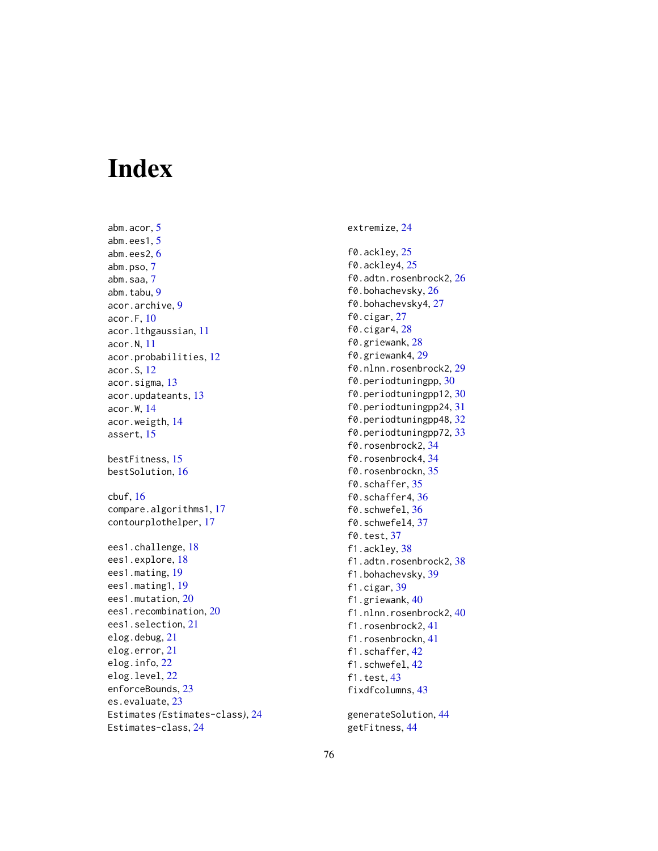# Index

abm.acor, [5](#page-4-0) abm.ees1, [5](#page-4-0) abm.ees2, [6](#page-5-0) abm.pso, [7](#page-6-0) abm.saa, [7](#page-6-0) abm.tabu, [9](#page-8-0) acor.archive, [9](#page-8-0) acor.F, [10](#page-9-0) acor.lthgaussian, [11](#page-10-0) acor.N, [11](#page-10-0) acor.probabilities, [12](#page-11-0) acor.S, [12](#page-11-0) acor.sigma, [13](#page-12-0) acor.updateants, [13](#page-12-0) acor.W, [14](#page-13-0) acor.weigth, [14](#page-13-0) assert, [15](#page-14-0) bestFitness, [15](#page-14-0) bestSolution, [16](#page-15-0) cbuf, [16](#page-15-0) compare.algorithms1, [17](#page-16-0) contourplothelper, [17](#page-16-0) ees1.challenge, [18](#page-17-0) ees1.explore, [18](#page-17-0) ees1.mating, [19](#page-18-0) ees1.mating1, [19](#page-18-0) ees1.mutation, [20](#page-19-0) ees1.recombination, [20](#page-19-0) ees1.selection, [21](#page-20-0) elog.debug, [21](#page-20-0) elog.error, [21](#page-20-0) elog.info, [22](#page-21-0) elog.level, [22](#page-21-0) enforceBounds, [23](#page-22-0) es.evaluate, [23](#page-22-0) Estimates *(*Estimates-class*)*, [24](#page-23-0) Estimates-class, [24](#page-23-0)

extremize, [24](#page-23-0)

f0.ackley, [25](#page-24-0) f0.ackley4, [25](#page-24-0) f0.adtn.rosenbrock2, [26](#page-25-0) f0.bohachevsky, [26](#page-25-0) f0.bohachevsky4, [27](#page-26-0) f0.cigar, [27](#page-26-0) f0.cigar4, [28](#page-27-0) f0.griewank, [28](#page-27-0) f0.griewank4, [29](#page-28-0) f0.nlnn.rosenbrock2, [29](#page-28-0) f0.periodtuningpp, [30](#page-29-0) f0.periodtuningpp12, [30](#page-29-0) f0.periodtuningpp24, [31](#page-30-0) f0.periodtuningpp48, [32](#page-31-0) f0.periodtuningpp72, [33](#page-32-0) f0.rosenbrock2, [34](#page-33-0) f0.rosenbrock4, [34](#page-33-0) f0.rosenbrockn, [35](#page-34-0) f0.schaffer, [35](#page-34-0) f0.schaffer4, [36](#page-35-0) f0.schwefel, [36](#page-35-0) f0.schwefel4, [37](#page-36-0) f0.test, [37](#page-36-0) f1.ackley, [38](#page-37-0) f1.adtn.rosenbrock2, [38](#page-37-0) f1.bohachevsky, [39](#page-38-0) f1.cigar, [39](#page-38-0) f1.griewank, [40](#page-39-0) f1.nlnn.rosenbrock2, [40](#page-39-0) f1.rosenbrock2, [41](#page-40-0) f1.rosenbrockn, [41](#page-40-0) f1.schaffer, [42](#page-41-0) f1.schwefel, [42](#page-41-0) f1.test, [43](#page-42-0) fixdfcolumns, [43](#page-42-0)

generateSolution, [44](#page-43-0) getFitness, [44](#page-43-0)